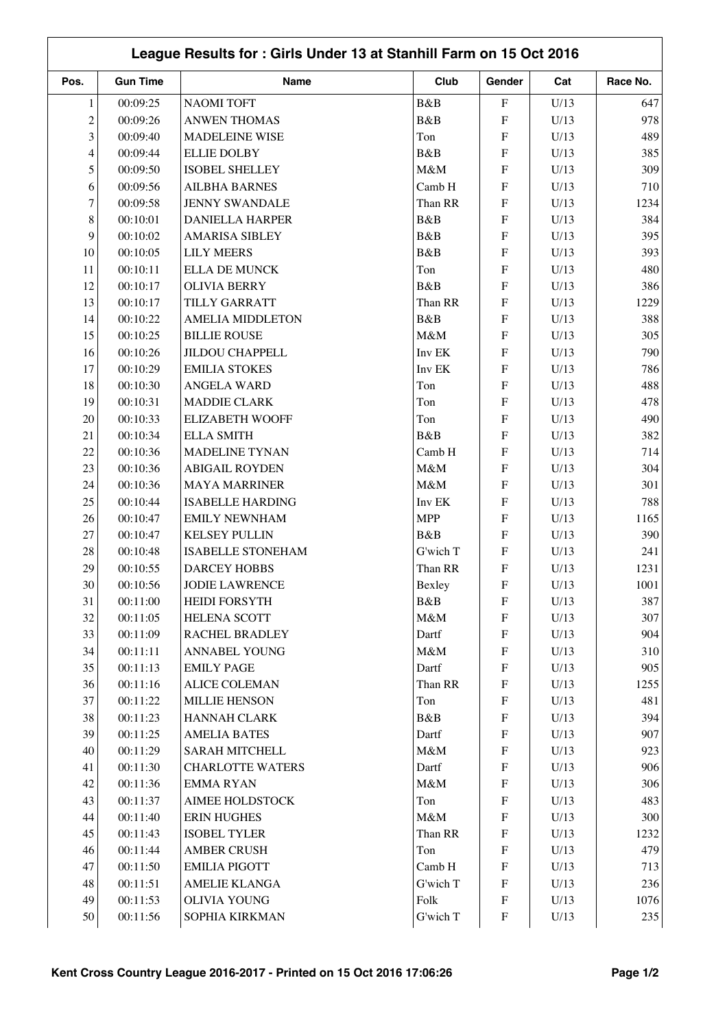|                | League Results for: Girls Under 13 at Stanhill Farm on 15 Oct 2016 |                                              |            |                           |      |             |  |  |
|----------------|--------------------------------------------------------------------|----------------------------------------------|------------|---------------------------|------|-------------|--|--|
| Pos.           | <b>Gun Time</b>                                                    | Name                                         | Club       | Gender                    | Cat  | Race No.    |  |  |
| $\mathbf{1}$   | 00:09:25                                                           | <b>NAOMI TOFT</b>                            | B&B        | ${\bf F}$                 | U/13 | 647         |  |  |
| $\overline{c}$ | 00:09:26                                                           | <b>ANWEN THOMAS</b>                          | B&B        | ${\rm F}$                 | U/13 | 978         |  |  |
| 3              | 00:09:40                                                           | <b>MADELEINE WISE</b>                        | Ton        | ${\rm F}$                 | U/13 | 489         |  |  |
| 4              | 00:09:44                                                           | <b>ELLIE DOLBY</b>                           | B&B        | ${\rm F}$                 | U/13 | 385         |  |  |
| 5              | 00:09:50                                                           | <b>ISOBEL SHELLEY</b>                        | M&M        | ${\rm F}$                 | U/13 | 309         |  |  |
| 6              | 00:09:56                                                           | <b>AILBHA BARNES</b>                         | Camb H     | ${\bf F}$                 | U/13 | 710         |  |  |
| $\tau$         | 00:09:58                                                           | <b>JENNY SWANDALE</b>                        | Than RR    | F                         | U/13 | 1234        |  |  |
| 8              | 00:10:01                                                           | <b>DANIELLA HARPER</b>                       | B&B        | ${\bf F}$                 | U/13 | 384         |  |  |
| 9              | 00:10:02                                                           | <b>AMARISA SIBLEY</b>                        | B&B        | F                         | U/13 | 395         |  |  |
| 10             | 00:10:05                                                           | <b>LILY MEERS</b>                            | B&B        | ${\bf F}$                 | U/13 | 393         |  |  |
| 11             | 00:10:11                                                           | <b>ELLA DE MUNCK</b>                         | Ton        | F                         | U/13 | 480         |  |  |
| 12             | 00:10:17                                                           | <b>OLIVIA BERRY</b>                          | B&B        | F                         | U/13 | 386         |  |  |
| 13             | 00:10:17                                                           | TILLY GARRATT                                | Than RR    | F                         | U/13 | 1229        |  |  |
| 14             | 00:10:22                                                           | <b>AMELIA MIDDLETON</b>                      | B&B        | F                         | U/13 | 388         |  |  |
| 15             | 00:10:25                                                           | <b>BILLIE ROUSE</b>                          | M&M        | $\boldsymbol{\mathrm{F}}$ | U/13 | 305         |  |  |
| 16             | 00:10:26                                                           | <b>JILDOU CHAPPELL</b>                       | Inv EK     | $\boldsymbol{\mathrm{F}}$ | U/13 | 790         |  |  |
| 17             | 00:10:29                                                           | <b>EMILIA STOKES</b>                         | Inv EK     | F                         | U/13 | 786         |  |  |
| 18             | 00:10:30                                                           | <b>ANGELA WARD</b>                           | Ton        | F                         | U/13 | 488         |  |  |
| 19             | 00:10:31                                                           | <b>MADDIE CLARK</b>                          | Ton        | ${\rm F}$                 | U/13 | 478         |  |  |
| 20             | 00:10:33                                                           | <b>ELIZABETH WOOFF</b>                       | Ton        | ${\rm F}$                 | U/13 | 490         |  |  |
| 21             | 00:10:34                                                           | <b>ELLA SMITH</b>                            | B&B        | ${\rm F}$                 | U/13 | 382         |  |  |
| 22             | 00:10:36                                                           | <b>MADELINE TYNAN</b>                        | Camb H     | ${\rm F}$                 | U/13 | 714         |  |  |
| 23             | 00:10:36                                                           | <b>ABIGAIL ROYDEN</b>                        | M&M        | $\boldsymbol{\mathrm{F}}$ | U/13 | 304         |  |  |
| 24             | 00:10:36                                                           | <b>MAYA MARRINER</b>                         | M&M        | F                         | U/13 | 301         |  |  |
| 25             | 00:10:44                                                           | <b>ISABELLE HARDING</b>                      | Inv EK     | ${\bf F}$                 | U/13 | 788         |  |  |
|                |                                                                    |                                              | <b>MPP</b> |                           |      | 1165        |  |  |
| 26<br>27       | 00:10:47                                                           | <b>EMILY NEWNHAM</b><br><b>KELSEY PULLIN</b> | B&B        | F                         | U/13 | 390         |  |  |
| 28             | 00:10:47                                                           | <b>ISABELLE STONEHAM</b>                     | G'wich T   | ${\rm F}$<br>${\bf F}$    | U/13 |             |  |  |
| 29             | 00:10:48                                                           | <b>DARCEY HOBBS</b>                          |            | ${\bf F}$                 | U/13 | 241<br>1231 |  |  |
|                | 00:10:55                                                           |                                              | Than RR    |                           | U/13 |             |  |  |
| 30             | 00:10:56                                                           | <b>JODIE LAWRENCE</b>                        | Bexley     | F                         | U/13 | 1001        |  |  |
| 31             | 00:11:00                                                           | <b>HEIDI FORSYTH</b>                         | B&B        | ${\bf F}$                 | U/13 | 387         |  |  |
| 32             | 00:11:05                                                           | HELENA SCOTT                                 | M&M        | ${\bf F}$                 | U/13 | 307         |  |  |
| 33             | 00:11:09                                                           | RACHEL BRADLEY                               | Dartf      | $\boldsymbol{\mathrm{F}}$ | U/13 | 904         |  |  |
| 34             | 00:11:11                                                           | ANNABEL YOUNG                                | M&M        | $\boldsymbol{\mathrm{F}}$ | U/13 | 310         |  |  |
| 35             | 00:11:13                                                           | <b>EMILY PAGE</b>                            | Dartf      | $\boldsymbol{\mathrm{F}}$ | U/13 | 905         |  |  |
| 36             | 00:11:16                                                           | <b>ALICE COLEMAN</b>                         | Than RR    | $\boldsymbol{\mathrm{F}}$ | U/13 | 1255        |  |  |
| 37             | 00:11:22                                                           | <b>MILLIE HENSON</b>                         | Ton        | $\boldsymbol{\mathrm{F}}$ | U/13 | 481         |  |  |
| 38             | 00:11:23                                                           | <b>HANNAH CLARK</b>                          | B&B        | $\boldsymbol{\mathrm{F}}$ | U/13 | 394         |  |  |
| 39             | 00:11:25                                                           | <b>AMELIA BATES</b>                          | Dartf      | $\boldsymbol{\mathrm{F}}$ | U/13 | 907         |  |  |
| 40             | 00:11:29                                                           | <b>SARAH MITCHELL</b>                        | M&M        | ${\bf F}$                 | U/13 | 923         |  |  |
| 41             | 00:11:30                                                           | <b>CHARLOTTE WATERS</b>                      | Dartf      | $\boldsymbol{\mathrm{F}}$ | U/13 | 906         |  |  |
| 42             | 00:11:36                                                           | <b>EMMARYAN</b>                              | M&M        | $\boldsymbol{\mathrm{F}}$ | U/13 | 306         |  |  |
| 43             | 00:11:37                                                           | AIMEE HOLDSTOCK                              | Ton        | $\boldsymbol{\mathrm{F}}$ | U/13 | 483         |  |  |
| 44             | 00:11:40                                                           | <b>ERIN HUGHES</b>                           | $M\&M$     | ${\rm F}$                 | U/13 | 300         |  |  |
| 45             | 00:11:43                                                           | <b>ISOBEL TYLER</b>                          | Than RR    | $\boldsymbol{\mathrm{F}}$ | U/13 | 1232        |  |  |
| 46             | 00:11:44                                                           | <b>AMBER CRUSH</b>                           | Ton        | $\boldsymbol{\mathrm{F}}$ | U/13 | 479         |  |  |
| 47             | 00:11:50                                                           | <b>EMILIA PIGOTT</b>                         | Camb H     | $\boldsymbol{\mathrm{F}}$ | U/13 | 713         |  |  |
| 48             | 00:11:51                                                           | <b>AMELIE KLANGA</b>                         | G'wich T   | $\boldsymbol{\mathrm{F}}$ | U/13 | 236         |  |  |
| 49             | 00:11:53                                                           | <b>OLIVIA YOUNG</b>                          | Folk       | $\boldsymbol{\mathrm{F}}$ | U/13 | 1076        |  |  |
| 50             | 00:11:56                                                           | SOPHIA KIRKMAN                               | G'wich T   | $\boldsymbol{\mathrm{F}}$ | U/13 | 235         |  |  |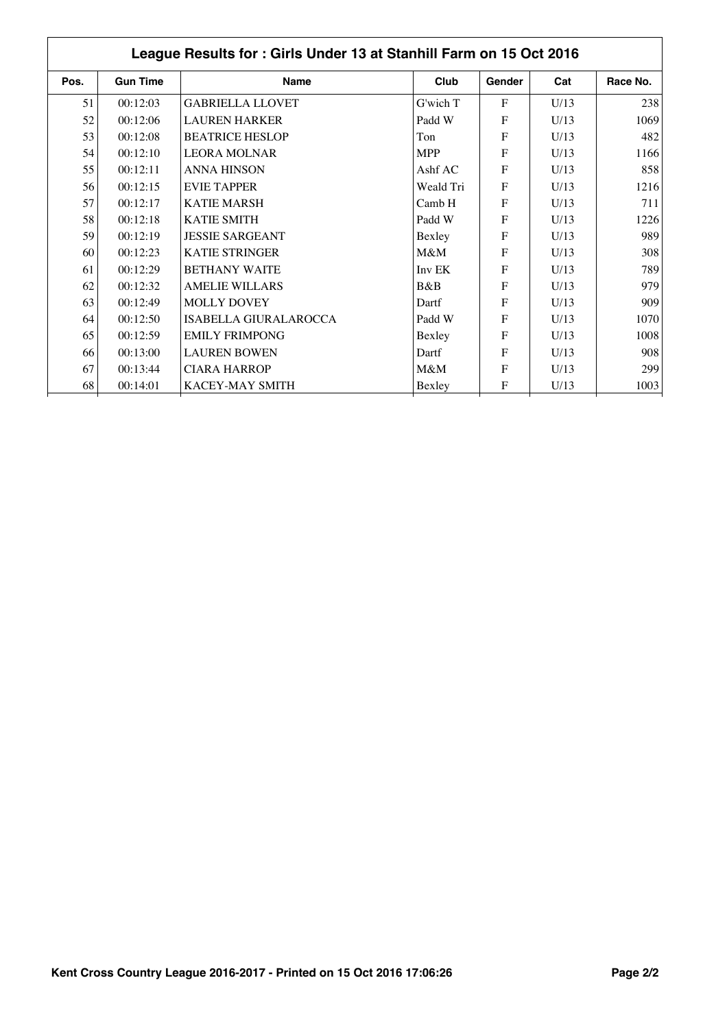|      | League Results for: Girls Under 13 at Stanhill Farm on 15 Oct 2016 |                              |            |                |      |          |  |  |  |
|------|--------------------------------------------------------------------|------------------------------|------------|----------------|------|----------|--|--|--|
| Pos. | <b>Gun Time</b>                                                    | Name                         | Club       | Gender         | Cat  | Race No. |  |  |  |
| 51   | 00:12:03                                                           | <b>GABRIELLA LLOVET</b>      | G'wich T   | F              | U/13 | 238      |  |  |  |
| 52   | 00:12:06                                                           | <b>LAUREN HARKER</b>         | Padd W     | F              | U/13 | 1069     |  |  |  |
| 53   | 00:12:08                                                           | <b>BEATRICE HESLOP</b>       | Ton        | $\mathbf{F}$   | U/13 | 482      |  |  |  |
| 54   | 00:12:10                                                           | <b>LEORA MOLNAR</b>          | <b>MPP</b> | $\mathbf{F}$   | U/13 | 1166     |  |  |  |
| 55   | 00:12:11                                                           | <b>ANNA HINSON</b>           | Ashf AC    | $\overline{F}$ | U/13 | 858      |  |  |  |
| 56   | 00:12:15                                                           | <b>EVIE TAPPER</b>           | Weald Tri  | F              | U/13 | 1216     |  |  |  |
| 57   | 00:12:17                                                           | <b>KATIE MARSH</b>           | Camb H     | $\mathbf{F}$   | U/13 | 711      |  |  |  |
| 58   | 00:12:18                                                           | <b>KATIE SMITH</b>           | Padd W     | F              | U/13 | 1226     |  |  |  |
| 59   | 00:12:19                                                           | <b>JESSIE SARGEANT</b>       | Bexley     | F              | U/13 | 989      |  |  |  |
| 60   | 00:12:23                                                           | <b>KATIE STRINGER</b>        | $M\&M$     | $\mathbf{F}$   | U/13 | 308      |  |  |  |
| 61   | 00:12:29                                                           | <b>BETHANY WAITE</b>         | Inv EK     | F              | U/13 | 789      |  |  |  |
| 62   | 00:12:32                                                           | <b>AMELIE WILLARS</b>        | B&B        | $\overline{F}$ | U/13 | 979      |  |  |  |
| 63   | 00:12:49                                                           | <b>MOLLY DOVEY</b>           | Dartf      | F              | U/13 | 909      |  |  |  |
| 64   | 00:12:50                                                           | <b>ISABELLA GIURALAROCCA</b> | Padd W     | $\mathbf{F}$   | U/13 | 1070     |  |  |  |
| 65   | 00:12:59                                                           | <b>EMILY FRIMPONG</b>        | Bexley     | $\mathbf{F}$   | U/13 | 1008     |  |  |  |
| 66   | 00:13:00                                                           | <b>LAUREN BOWEN</b>          | Dartf      | F              | U/13 | 908      |  |  |  |
| 67   | 00:13:44                                                           | <b>CIARA HARROP</b>          | $M\&M$     | F              | U/13 | 299      |  |  |  |
| 68   | 00:14:01                                                           | KACEY-MAY SMITH              | Bexley     | ${\bf F}$      | U/13 | 1003     |  |  |  |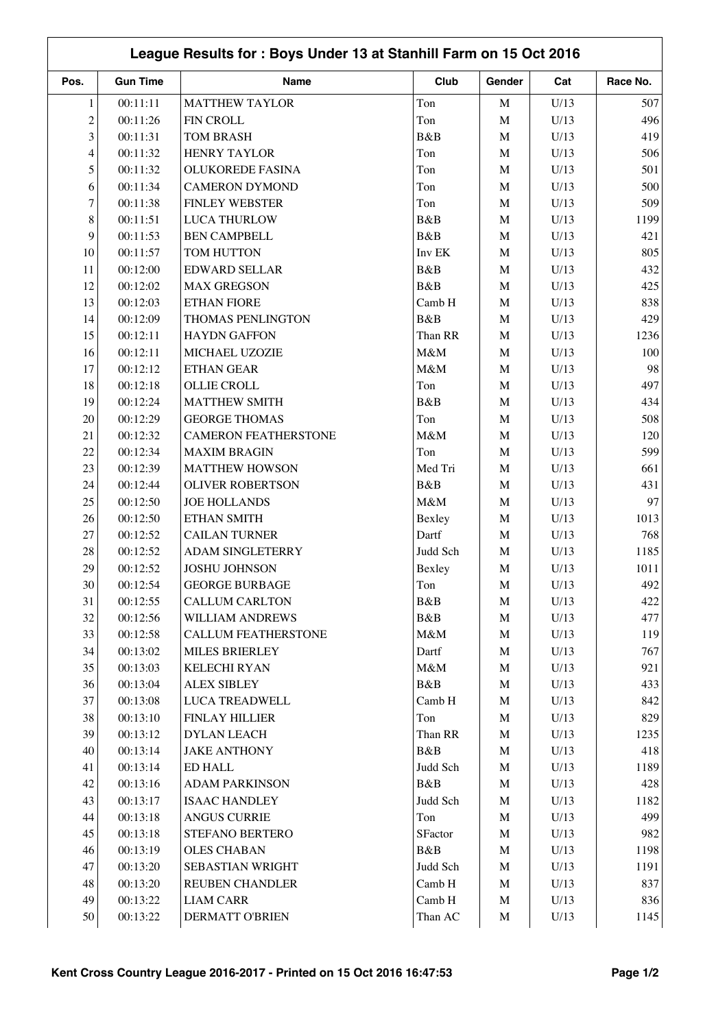|                | League Results for: Boys Under 13 at Stanhill Farm on 15 Oct 2016 |                             |          |             |      |          |  |  |
|----------------|-------------------------------------------------------------------|-----------------------------|----------|-------------|------|----------|--|--|
| Pos.           | <b>Gun Time</b>                                                   | Name                        | Club     | Gender      | Cat  | Race No. |  |  |
| 1              | 00:11:11                                                          | <b>MATTHEW TAYLOR</b>       | Ton      | $\mathbf M$ | U/13 | 507      |  |  |
| $\overline{c}$ | 00:11:26                                                          | FIN CROLL                   | Ton      | $\mathbf M$ | U/13 | 496      |  |  |
| 3              | 00:11:31                                                          | <b>TOM BRASH</b>            | B&B      | $\mathbf M$ | U/13 | 419      |  |  |
| $\overline{4}$ | 00:11:32                                                          | <b>HENRY TAYLOR</b>         | Ton      | $\mathbf M$ | U/13 | 506      |  |  |
| 5              | 00:11:32                                                          | <b>OLUKOREDE FASINA</b>     | Ton      | $\mathbf M$ | U/13 | 501      |  |  |
| 6              | 00:11:34                                                          | <b>CAMERON DYMOND</b>       | Ton      | $\mathbf M$ | U/13 | 500      |  |  |
| $\tau$         | 00:11:38                                                          | <b>FINLEY WEBSTER</b>       | Ton      | $\mathbf M$ | U/13 | 509      |  |  |
| $8\,$          | 00:11:51                                                          | <b>LUCA THURLOW</b>         | B&B      | $\mathbf M$ | U/13 | 1199     |  |  |
| 9              | 00:11:53                                                          | <b>BEN CAMPBELL</b>         | B&B      | $\mathbf M$ | U/13 | 421      |  |  |
| 10             | 00:11:57                                                          | TOM HUTTON                  | Inv EK   | M           | U/13 | 805      |  |  |
| 11             | 00:12:00                                                          | <b>EDWARD SELLAR</b>        | B&B      | $\mathbf M$ | U/13 | 432      |  |  |
| 12             | 00:12:02                                                          | <b>MAX GREGSON</b>          | B&B      | $\mathbf M$ | U/13 | 425      |  |  |
| 13             | 00:12:03                                                          | <b>ETHAN FIORE</b>          | Camb H   | $\mathbf M$ | U/13 | 838      |  |  |
| 14             | 00:12:09                                                          | THOMAS PENLINGTON           | B&B      | $\mathbf M$ | U/13 | 429      |  |  |
| 15             | 00:12:11                                                          | <b>HAYDN GAFFON</b>         | Than RR  | $\mathbf M$ | U/13 | 1236     |  |  |
| 16             | 00:12:11                                                          | MICHAEL UZOZIE              | M&M      | $\mathbf M$ | U/13 | 100      |  |  |
| 17             | 00:12:12                                                          | <b>ETHAN GEAR</b>           | M&M      | $\mathbf M$ | U/13 | 98       |  |  |
| 18             | 00:12:18                                                          | OLLIE CROLL                 | Ton      | $\mathbf M$ | U/13 | 497      |  |  |
| 19             | 00:12:24                                                          | <b>MATTHEW SMITH</b>        | B&B      | $\mathbf M$ | U/13 | 434      |  |  |
| 20             | 00:12:29                                                          | <b>GEORGE THOMAS</b>        | Ton      | $\mathbf M$ | U/13 | 508      |  |  |
| 21             | 00:12:32                                                          | <b>CAMERON FEATHERSTONE</b> | M&M      | $\mathbf M$ | U/13 | 120      |  |  |
| 22             | 00:12:34                                                          | <b>MAXIM BRAGIN</b>         | Ton      | $\mathbf M$ | U/13 | 599      |  |  |
| 23             | 00:12:39                                                          | <b>MATTHEW HOWSON</b>       | Med Tri  | $\mathbf M$ | U/13 | 661      |  |  |
| 24             | 00:12:44                                                          | <b>OLIVER ROBERTSON</b>     | B&B      | $\mathbf M$ | U/13 | 431      |  |  |
| 25             | 00:12:50                                                          | <b>JOE HOLLANDS</b>         | M&M      | M           | U/13 | 97       |  |  |
| 26             | 00:12:50                                                          | ETHAN SMITH                 | Bexley   | M           | U/13 | 1013     |  |  |
| 27             | 00:12:52                                                          | <b>CAILAN TURNER</b>        | Dartf    | $\mathbf M$ | U/13 | 768      |  |  |
| 28             | 00:12:52                                                          | ADAM SINGLETERRY            | Judd Sch | $\mathbf M$ | U/13 | 1185     |  |  |
| 29             | 00:12:52                                                          | <b>JOSHU JOHNSON</b>        | Bexley   | $\mathbf M$ | U/13 | 1011     |  |  |
| $30\,$         | 00:12:54                                                          | <b>GEORGE BURBAGE</b>       | Ton      | M           | U/13 | 492      |  |  |
| 31             | 00:12:55                                                          | <b>CALLUM CARLTON</b>       | B&B      | M           | U/13 | 422      |  |  |
| 32             | 00:12:56                                                          | WILLIAM ANDREWS             | B&B      | $\mathbf M$ | U/13 | 477      |  |  |
| 33             | 00:12:58                                                          | CALLUM FEATHERSTONE         | M&M      | $\mathbf M$ | U/13 | 119      |  |  |
| 34             | 00:13:02                                                          | <b>MILES BRIERLEY</b>       | Dartf    | $\mathbf M$ | U/13 | 767      |  |  |
| 35             | 00:13:03                                                          | <b>KELECHI RYAN</b>         | $M\&M$   | M           | U/13 | 921      |  |  |
| 36             | 00:13:04                                                          | <b>ALEX SIBLEY</b>          | B&B      | $\mathbf M$ | U/13 | 433      |  |  |
| 37             | 00:13:08                                                          | <b>LUCA TREADWELL</b>       | Camb H   | M           | U/13 | 842      |  |  |
| 38             | 00:13:10                                                          | FINLAY HILLIER              | Ton      | $\mathbf M$ | U/13 | 829      |  |  |
| 39             | 00:13:12                                                          | DYLAN LEACH                 | Than RR  | $\mathbf M$ | U/13 | 1235     |  |  |
| 40             | 00:13:14                                                          | <b>JAKE ANTHONY</b>         | B&B      | $\mathbf M$ | U/13 | 418      |  |  |
| 41             | 00:13:14                                                          | ED HALL                     | Judd Sch | $\mathbf M$ | U/13 | 1189     |  |  |
| 42             | 00:13:16                                                          | <b>ADAM PARKINSON</b>       | B&B      | $\mathbf M$ | U/13 | 428      |  |  |
| 43             | 00:13:17                                                          | <b>ISAAC HANDLEY</b>        | Judd Sch | $\mathbf M$ | U/13 | 1182     |  |  |
| 44             | 00:13:18                                                          | <b>ANGUS CURRIE</b>         | Ton      | $\mathbf M$ | U/13 | 499      |  |  |
| 45             | 00:13:18                                                          | STEFANO BERTERO             | SFactor  | $\mathbf M$ | U/13 | 982      |  |  |
| 46             | 00:13:19                                                          | <b>OLES CHABAN</b>          | B&B      | $\mathbf M$ | U/13 | 1198     |  |  |
| 47             | 00:13:20                                                          | SEBASTIAN WRIGHT            | Judd Sch | $\mathbf M$ | U/13 | 1191     |  |  |
| 48             | 00:13:20                                                          | REUBEN CHANDLER             | Camb H   | M           | U/13 | 837      |  |  |
| 49             | 00:13:22                                                          | <b>LIAM CARR</b>            | Camb H   | $\mathbf M$ | U/13 | 836      |  |  |
| 50             | 00:13:22                                                          | <b>DERMATT O'BRIEN</b>      | Than AC  | M           | U/13 | 1145     |  |  |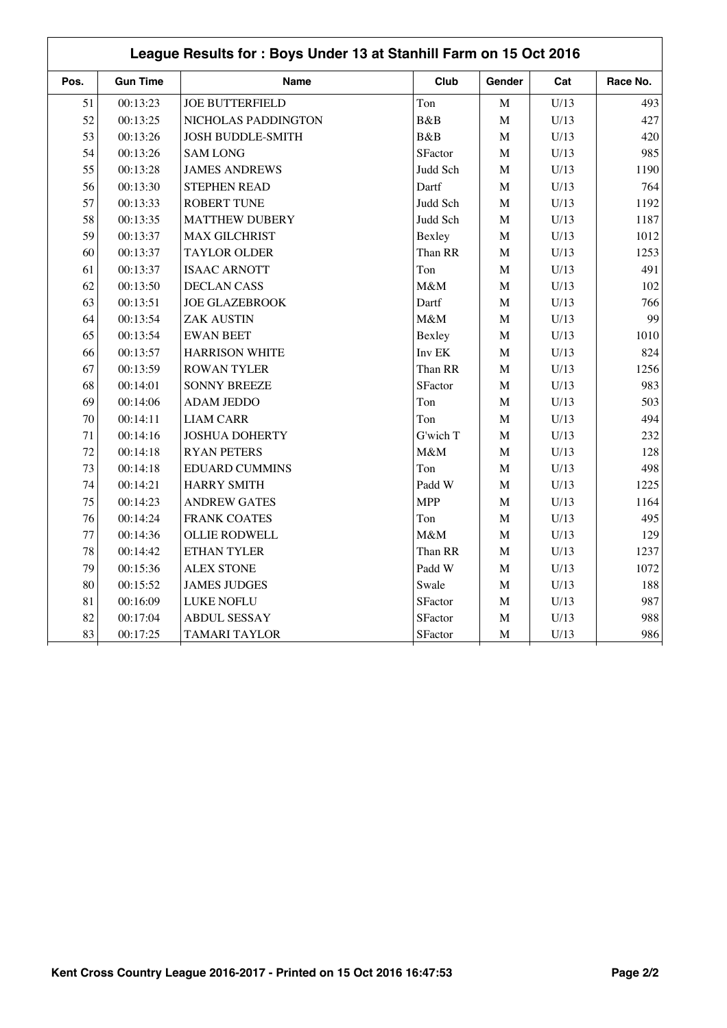| League Results for: Boys Under 13 at Stanhill Farm on 15 Oct 2016 |                 |                          |            |             |      |          |  |
|-------------------------------------------------------------------|-----------------|--------------------------|------------|-------------|------|----------|--|
| Pos.                                                              | <b>Gun Time</b> | <b>Name</b>              | Club       | Gender      | Cat  | Race No. |  |
| 51                                                                | 00:13:23        | <b>JOE BUTTERFIELD</b>   | Ton        | M           | U/13 | 493      |  |
| 52                                                                | 00:13:25        | NICHOLAS PADDINGTON      | B&B        | $\mathbf M$ | U/13 | 427      |  |
| 53                                                                | 00:13:26        | <b>JOSH BUDDLE-SMITH</b> | B&B        | $\mathbf M$ | U/13 | 420      |  |
| 54                                                                | 00:13:26        | <b>SAM LONG</b>          | SFactor    | $\mathbf M$ | U/13 | 985      |  |
| 55                                                                | 00:13:28        | <b>JAMES ANDREWS</b>     | Judd Sch   | $\mathbf M$ | U/13 | 1190     |  |
| 56                                                                | 00:13:30        | <b>STEPHEN READ</b>      | Dartf      | $\mathbf M$ | U/13 | 764      |  |
| 57                                                                | 00:13:33        | <b>ROBERT TUNE</b>       | Judd Sch   | $\mathbf M$ | U/13 | 1192     |  |
| 58                                                                | 00:13:35        | <b>MATTHEW DUBERY</b>    | Judd Sch   | $\mathbf M$ | U/13 | 1187     |  |
| 59                                                                | 00:13:37        | <b>MAX GILCHRIST</b>     | Bexley     | $\mathbf M$ | U/13 | 1012     |  |
| 60                                                                | 00:13:37        | <b>TAYLOR OLDER</b>      | Than RR    | $\mathbf M$ | U/13 | 1253     |  |
| 61                                                                | 00:13:37        | <b>ISAAC ARNOTT</b>      | Ton        | $\mathbf M$ | U/13 | 491      |  |
| 62                                                                | 00:13:50        | <b>DECLAN CASS</b>       | M&M        | $\mathbf M$ | U/13 | 102      |  |
| 63                                                                | 00:13:51        | <b>JOE GLAZEBROOK</b>    | Dartf      | $\mathbf M$ | U/13 | 766      |  |
| 64                                                                | 00:13:54        | <b>ZAK AUSTIN</b>        | M&M        | $\mathbf M$ | U/13 | 99       |  |
| 65                                                                | 00:13:54        | <b>EWAN BEET</b>         | Bexley     | $\mathbf M$ | U/13 | 1010     |  |
| 66                                                                | 00:13:57        | <b>HARRISON WHITE</b>    | Inv EK     | $\mathbf M$ | U/13 | 824      |  |
| 67                                                                | 00:13:59        | <b>ROWAN TYLER</b>       | Than RR    | $\mathbf M$ | U/13 | 1256     |  |
| 68                                                                | 00:14:01        | <b>SONNY BREEZE</b>      | SFactor    | $\mathbf M$ | U/13 | 983      |  |
| 69                                                                | 00:14:06        | <b>ADAM JEDDO</b>        | Ton        | $\mathbf M$ | U/13 | 503      |  |
| 70                                                                | 00:14:11        | <b>LIAM CARR</b>         | Ton        | $\mathbf M$ | U/13 | 494      |  |
| 71                                                                | 00:14:16        | <b>JOSHUA DOHERTY</b>    | G'wich T   | $\mathbf M$ | U/13 | 232      |  |
| 72                                                                | 00:14:18        | <b>RYAN PETERS</b>       | M&M        | $\mathbf M$ | U/13 | 128      |  |
| 73                                                                | 00:14:18        | <b>EDUARD CUMMINS</b>    | Ton        | $\mathbf M$ | U/13 | 498      |  |
| 74                                                                | 00:14:21        | <b>HARRY SMITH</b>       | Padd W     | $\mathbf M$ | U/13 | 1225     |  |
| 75                                                                | 00:14:23        | <b>ANDREW GATES</b>      | <b>MPP</b> | $\mathbf M$ | U/13 | 1164     |  |
| 76                                                                | 00:14:24        | <b>FRANK COATES</b>      | Ton        | $\mathbf M$ | U/13 | 495      |  |
| 77                                                                | 00:14:36        | <b>OLLIE RODWELL</b>     | M&M        | $\mathbf M$ | U/13 | 129      |  |
| 78                                                                | 00:14:42        | ETHAN TYLER              | Than RR    | $\mathbf M$ | U/13 | 1237     |  |
| 79                                                                | 00:15:36        | <b>ALEX STONE</b>        | Padd W     | $\mathbf M$ | U/13 | 1072     |  |
| 80                                                                | 00:15:52        | <b>JAMES JUDGES</b>      | Swale      | $\mathbf M$ | U/13 | 188      |  |
| 81                                                                | 00:16:09        | LUKE NOFLU               | SFactor    | $\mathbf M$ | U/13 | 987      |  |
| 82                                                                | 00:17:04        | <b>ABDUL SESSAY</b>      | SFactor    | $\mathbf M$ | U/13 | 988      |  |
| 83                                                                | 00:17:25        | <b>TAMARI TAYLOR</b>     | SFactor    | $\mathbf M$ | U/13 | 986      |  |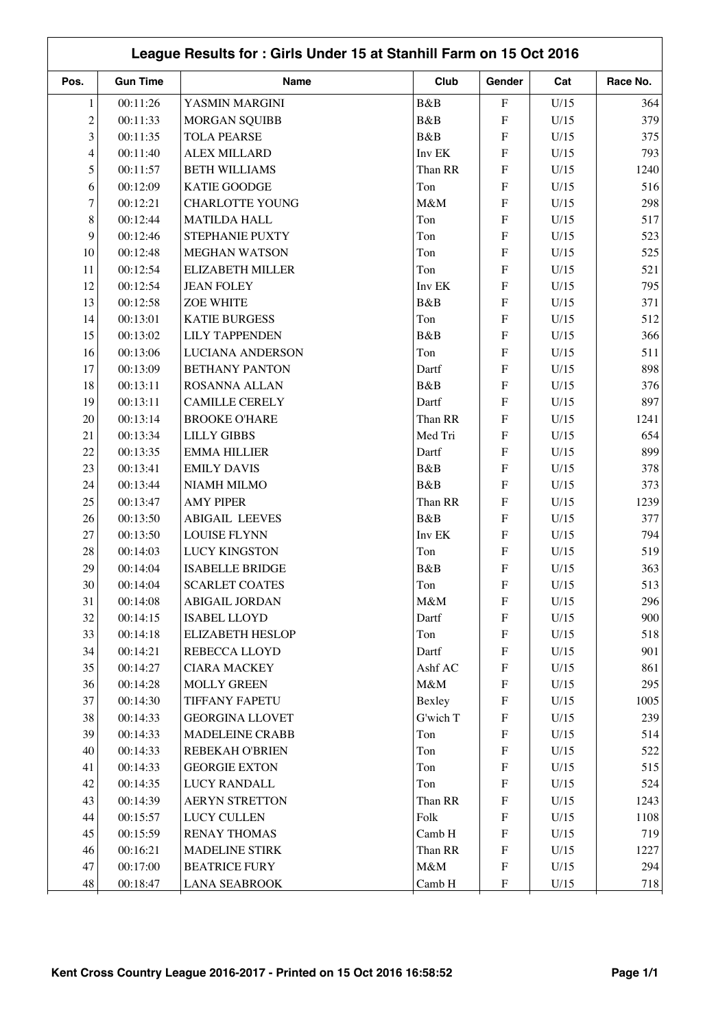| League Results for: Girls Under 15 at Stanhill Farm on 15 Oct 2016 |                      |                                             |              |                           |      |          |  |
|--------------------------------------------------------------------|----------------------|---------------------------------------------|--------------|---------------------------|------|----------|--|
| Pos.                                                               | <b>Gun Time</b>      | Name                                        | Club         | Gender                    | Cat  | Race No. |  |
| 1                                                                  | 00:11:26             | YASMIN MARGINI                              | B&B          | ${\bf F}$                 | U/15 | 364      |  |
| $\overline{c}$                                                     | 00:11:33             | <b>MORGAN SQUIBB</b>                        | B&B          | ${\bf F}$                 | U/15 | 379      |  |
| $\overline{3}$                                                     | 00:11:35             | <b>TOLA PEARSE</b>                          | B&B          | F                         | U/15 | 375      |  |
| $\overline{4}$                                                     | 00:11:40             | <b>ALEX MILLARD</b>                         | Inv EK       | F                         | U/15 | 793      |  |
| 5                                                                  | 00:11:57             | <b>BETH WILLIAMS</b>                        | Than RR      | ${\bf F}$                 | U/15 | 1240     |  |
| 6                                                                  | 00:12:09             | <b>KATIE GOODGE</b>                         | Ton          | ${\bf F}$                 | U/15 | 516      |  |
| $\overline{7}$                                                     | 00:12:21             | <b>CHARLOTTE YOUNG</b>                      | M&M          | ${\rm F}$                 | U/15 | 298      |  |
| $8\,$                                                              | 00:12:44             | <b>MATILDA HALL</b>                         | Ton          | ${\bf F}$                 | U/15 | 517      |  |
| 9                                                                  | 00:12:46             | STEPHANIE PUXTY                             | Ton          | ${\bf F}$                 | U/15 | 523      |  |
| 10                                                                 | 00:12:48             | <b>MEGHAN WATSON</b>                        | Ton          | ${\bf F}$                 | U/15 | 525      |  |
| 11                                                                 | 00:12:54             | <b>ELIZABETH MILLER</b>                     | Ton          | F                         | U/15 | 521      |  |
| 12                                                                 | 00:12:54             | <b>JEAN FOLEY</b>                           | Inv EK       | F                         | U/15 | 795      |  |
| 13                                                                 | 00:12:58             | <b>ZOE WHITE</b>                            | B&B          | ${\bf F}$                 | U/15 | 371      |  |
| 14                                                                 | 00:13:01             | <b>KATIE BURGESS</b>                        | Ton          | F                         | U/15 | 512      |  |
| 15                                                                 | 00:13:02             | <b>LILY TAPPENDEN</b>                       | B&B          | F                         | U/15 | 366      |  |
| 16                                                                 | 00:13:06             | <b>LUCIANA ANDERSON</b>                     | Ton          | F                         | U/15 | 511      |  |
| 17                                                                 | 00:13:09             | <b>BETHANY PANTON</b>                       | Dartf        | ${\bf F}$                 | U/15 | 898      |  |
| 18                                                                 | 00:13:11             | ROSANNA ALLAN                               | B&B          | F                         | U/15 | 376      |  |
| 19                                                                 | 00:13:11             | <b>CAMILLE CERELY</b>                       | Dartf        | F                         | U/15 | 897      |  |
| 20                                                                 | 00:13:14             | <b>BROOKE O'HARE</b>                        | Than RR      | ${\bf F}$                 | U/15 | 1241     |  |
| 21                                                                 | 00:13:34             | <b>LILLY GIBBS</b>                          | Med Tri      | ${\bf F}$                 | U/15 | 654      |  |
| 22                                                                 | 00:13:35             | <b>EMMA HILLIER</b>                         | Dartf        | ${\bf F}$                 | U/15 | 899      |  |
| 23                                                                 | 00:13:41             | <b>EMILY DAVIS</b>                          | B&B          | ${\bf F}$                 | U/15 | 378      |  |
| 24                                                                 | 00:13:44             | NIAMH MILMO                                 | B&B          | F                         | U/15 | 373      |  |
| 25                                                                 | 00:13:47             | <b>AMY PIPER</b>                            | Than RR      | ${\bf F}$                 | U/15 | 1239     |  |
| 26                                                                 | 00:13:50             | <b>ABIGAIL LEEVES</b>                       | B&B          | ${\bf F}$                 | U/15 | 377      |  |
| 27                                                                 | 00:13:50             | <b>LOUISE FLYNN</b>                         | Inv EK       | F                         | U/15 | 794      |  |
| 28                                                                 | 00:14:03             | <b>LUCY KINGSTON</b>                        | Ton          | ${\bf F}$                 | U/15 | 519      |  |
| 29                                                                 | 00:14:04             | <b>ISABELLE BRIDGE</b>                      | B&B          | F                         | U/15 | 363      |  |
| 30                                                                 |                      | <b>SCARLET COATES</b>                       | Ton          | ${\bf F}$                 | U/15 | 513      |  |
| 31                                                                 | 00:14:04<br>00:14:08 | <b>ABIGAIL JORDAN</b>                       | M&M          | ${\bf F}$                 | U/15 | 296      |  |
| 32                                                                 |                      | <b>ISABEL LLOYD</b>                         |              | ${\bf F}$                 | U/15 | 900      |  |
| 33                                                                 | 00:14:15<br>00:14:18 | <b>ELIZABETH HESLOP</b>                     | Dartf<br>Ton | ${\bf F}$                 | U/15 | 518      |  |
|                                                                    |                      |                                             |              |                           |      |          |  |
| 34                                                                 | 00:14:21             | <b>REBECCA LLOYD</b><br><b>CIARA MACKEY</b> | Dartf        | ${\bf F}$                 | U/15 | 901      |  |
| 35                                                                 | 00:14:27             |                                             | Ashf AC      | $\boldsymbol{\mathrm{F}}$ | U/15 | 861      |  |
| 36                                                                 | 00:14:28             | <b>MOLLY GREEN</b>                          | $M\&M$       | ${\bf F}$                 | U/15 | 295      |  |
| 37                                                                 | 00:14:30             | TIFFANY FAPETU                              | Bexley       | $\boldsymbol{\mathrm{F}}$ | U/15 | 1005     |  |
| 38                                                                 | 00:14:33             | <b>GEORGINA LLOVET</b>                      | G'wich T     | $\boldsymbol{\mathrm{F}}$ | U/15 | 239      |  |
| 39                                                                 | 00:14:33             | MADELEINE CRABB                             | Ton          | $\boldsymbol{\mathrm{F}}$ | U/15 | 514      |  |
| $40\,$                                                             | 00:14:33             | REBEKAH O'BRIEN                             | Ton          | ${\bf F}$                 | U/15 | 522      |  |
| 41                                                                 | 00:14:33             | <b>GEORGIE EXTON</b>                        | Ton          | $\boldsymbol{\mathrm{F}}$ | U/15 | 515      |  |
| 42                                                                 | 00:14:35             | <b>LUCY RANDALL</b>                         | Ton          | ${\bf F}$                 | U/15 | 524      |  |
| 43                                                                 | 00:14:39             | <b>AERYN STRETTON</b>                       | Than RR      | ${\bf F}$                 | U/15 | 1243     |  |
| 44                                                                 | 00:15:57             | <b>LUCY CULLEN</b>                          | Folk         | ${\bf F}$                 | U/15 | 1108     |  |
| 45                                                                 | 00:15:59             | <b>RENAY THOMAS</b>                         | Camb H       | $\boldsymbol{\mathrm{F}}$ | U/15 | 719      |  |
| 46                                                                 | 00:16:21             | <b>MADELINE STIRK</b>                       | Than RR      | ${\bf F}$                 | U/15 | 1227     |  |
| 47                                                                 | 00:17:00             | <b>BEATRICE FURY</b>                        | $M\&M$       | ${\bf F}$                 | U/15 | 294      |  |
| 48                                                                 | 00:18:47             | <b>LANA SEABROOK</b>                        | Camb H       | $\boldsymbol{\mathrm{F}}$ | U/15 | 718      |  |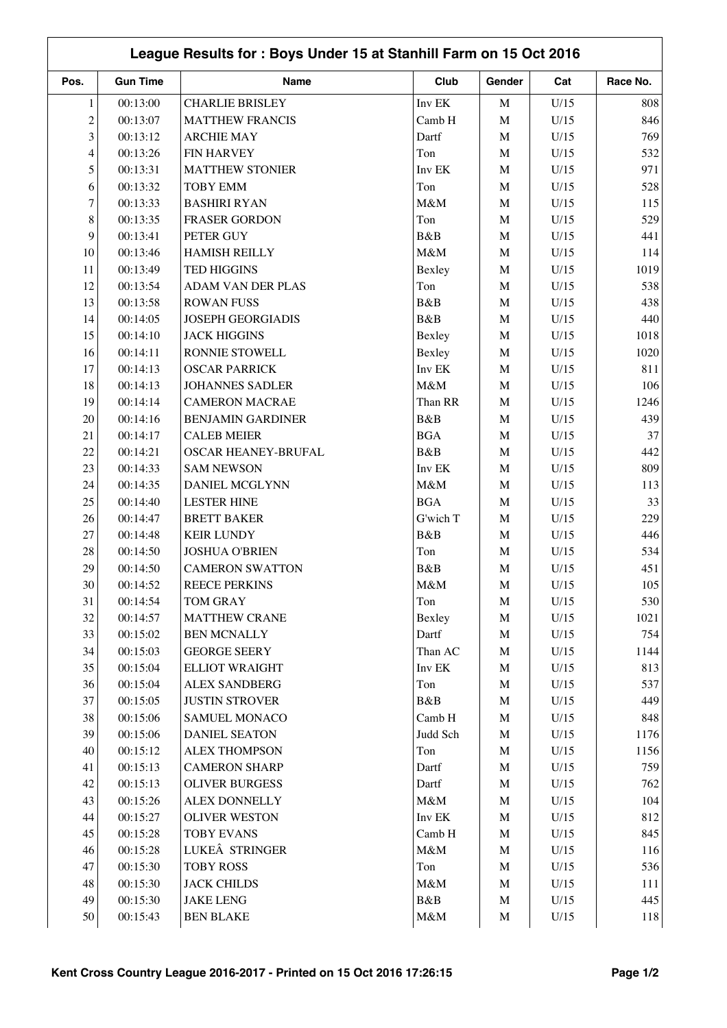|                | League Results for: Boys Under 15 at Stanhill Farm on 15 Oct 2016 |                          |            |             |              |          |  |  |
|----------------|-------------------------------------------------------------------|--------------------------|------------|-------------|--------------|----------|--|--|
| Pos.           | <b>Gun Time</b>                                                   | Name                     | Club       | Gender      | Cat          | Race No. |  |  |
| $\mathbf{1}$   | 00:13:00                                                          | <b>CHARLIE BRISLEY</b>   | Inv EK     | $\mathbf M$ | U/15         | 808      |  |  |
| $\overline{c}$ | 00:13:07                                                          | <b>MATTHEW FRANCIS</b>   | Camb H     | $\mathbf M$ | U/15         | 846      |  |  |
| 3              | 00:13:12                                                          | <b>ARCHIE MAY</b>        | Dartf      | $\mathbf M$ | U/15         | 769      |  |  |
| 4              | 00:13:26                                                          | <b>FIN HARVEY</b>        | Ton        | $\mathbf M$ | U/15         | 532      |  |  |
| 5              | 00:13:31                                                          | <b>MATTHEW STONIER</b>   | Inv EK     | $\mathbf M$ | U/15         | 971      |  |  |
| 6              | 00:13:32                                                          | <b>TOBY EMM</b>          | Ton        | $\mathbf M$ | U/15         | 528      |  |  |
| $\tau$         | 00:13:33                                                          | <b>BASHIRI RYAN</b>      | M&M        | $\mathbf M$ | U/15         | 115      |  |  |
| 8              | 00:13:35                                                          | FRASER GORDON            | Ton        | $\mathbf M$ | U/15         | 529      |  |  |
| 9              | 00:13:41                                                          | PETER GUY                | B&B        | $\mathbf M$ | U/15         | 441      |  |  |
| 10             | 00:13:46                                                          | HAMISH REILLY            | M&M        | $\mathbf M$ | U/15         | 114      |  |  |
| 11             | 00:13:49                                                          | <b>TED HIGGINS</b>       | Bexley     | $\mathbf M$ | U/15         | 1019     |  |  |
| 12             | 00:13:54                                                          | <b>ADAM VAN DER PLAS</b> | Ton        | $\mathbf M$ | U/15         | 538      |  |  |
| 13             | 00:13:58                                                          | <b>ROWAN FUSS</b>        | B&B        | $\mathbf M$ | U/15         | 438      |  |  |
| 14             | 00:14:05                                                          | <b>JOSEPH GEORGIADIS</b> | B&B        | $\mathbf M$ | U/15         | 440      |  |  |
| 15             | 00:14:10                                                          | <b>JACK HIGGINS</b>      | Bexley     | $\mathbf M$ | U/15         | 1018     |  |  |
| 16             | 00:14:11                                                          | RONNIE STOWELL           | Bexley     | $\mathbf M$ | U/15         | 1020     |  |  |
| 17             | 00:14:13                                                          | <b>OSCAR PARRICK</b>     | Inv EK     | $\mathbf M$ | U/15         | 811      |  |  |
| 18             | 00:14:13                                                          | <b>JOHANNES SADLER</b>   | M&M        | $\mathbf M$ | U/15         | 106      |  |  |
| 19             | 00:14:14                                                          | <b>CAMERON MACRAE</b>    | Than RR    | $\mathbf M$ | U/15         | 1246     |  |  |
| 20             | 00:14:16                                                          | <b>BENJAMIN GARDINER</b> | B&B        | $\mathbf M$ | U/15         | 439      |  |  |
| 21             | 00:14:17                                                          | <b>CALEB MEIER</b>       | <b>BGA</b> | $\mathbf M$ | U/15         | 37       |  |  |
| 22             | 00:14:21                                                          | OSCAR HEANEY-BRUFAL      | B&B        | $\mathbf M$ | U/15         | 442      |  |  |
| 23             | 00:14:33                                                          | <b>SAM NEWSON</b>        | Inv EK     | $\mathbf M$ | U/15         | 809      |  |  |
| 24             | 00:14:35                                                          | DANIEL MCGLYNN           | M&M        | $\mathbf M$ | U/15         | 113      |  |  |
| 25             | 00:14:40                                                          | <b>LESTER HINE</b>       | <b>BGA</b> | $\mathbf M$ | U/15         | 33       |  |  |
| 26             | 00:14:47                                                          | <b>BRETT BAKER</b>       | G'wich T   | $\mathbf M$ | U/15         | 229      |  |  |
| 27             | 00:14:48                                                          | <b>KEIR LUNDY</b>        | B&B        | $\mathbf M$ | U/15         | 446      |  |  |
| $28\,$         | 00:14:50                                                          | <b>JOSHUA O'BRIEN</b>    | Ton        | $\mathbf M$ | U/15         | 534      |  |  |
| 29             | 00:14:50                                                          | <b>CAMERON SWATTON</b>   | B&B        | $\mathbf M$ | U/15         | 451      |  |  |
| 30             | 00:14:52                                                          | <b>REECE PERKINS</b>     | M&M        | M           | U/15         | 105      |  |  |
| 31             | 00:14:54                                                          | TOM GRAY                 | Ton        | M           | U/15         | 530      |  |  |
| 32             | 00:14:57                                                          | <b>MATTHEW CRANE</b>     | Bexley     | $\mathbf M$ | U/15         | 1021     |  |  |
| 33             | 00:15:02                                                          | <b>BEN MCNALLY</b>       | Dartf      | $\mathbf M$ | U/15         | 754      |  |  |
| 34             | 00:15:03                                                          | <b>GEORGE SEERY</b>      | Than AC    | $\mathbf M$ | U/15         | 1144     |  |  |
| 35             | 00:15:04                                                          | <b>ELLIOT WRAIGHT</b>    | Inv EK     | $\mathbf M$ | U/15         | 813      |  |  |
| 36             | 00:15:04                                                          | <b>ALEX SANDBERG</b>     | Ton        | $\mathbf M$ | U/15         | 537      |  |  |
| 37             | 00:15:05                                                          | <b>JUSTIN STROVER</b>    | B&B        | $\mathbf M$ | U/15         | 449      |  |  |
| 38             | 00:15:06                                                          | SAMUEL MONACO            | Camb H     | $\mathbf M$ | U/15         | 848      |  |  |
| 39             | 00:15:06                                                          | <b>DANIEL SEATON</b>     | Judd Sch   | $\mathbf M$ | U/15         | 1176     |  |  |
| 40             | 00:15:12                                                          | <b>ALEX THOMPSON</b>     | Ton        | $\mathbf M$ | U/15         | 1156     |  |  |
| 41             | 00:15:13                                                          | <b>CAMERON SHARP</b>     | Dartf      | $\mathbf M$ | U/15         | 759      |  |  |
| 42             | 00:15:13                                                          | <b>OLIVER BURGESS</b>    | Dartf      | $\mathbf M$ | U/15         | 762      |  |  |
| 43             | 00:15:26                                                          | <b>ALEX DONNELLY</b>     | $M\&M$     | $\mathbf M$ | U/15         | 104      |  |  |
| 44             | 00:15:27                                                          | <b>OLIVER WESTON</b>     | Inv EK     | $\mathbf M$ | U/15         | 812      |  |  |
| 45             | 00:15:28                                                          | <b>TOBY EVANS</b>        | Camb H     | $\mathbf M$ |              | 845      |  |  |
| 46             | 00:15:28                                                          | LUKEÂ STRINGER           | $M\&M$     | $\mathbf M$ | U/15<br>U/15 | 116      |  |  |
| 47             | 00:15:30                                                          | <b>TOBY ROSS</b>         | Ton        | $\mathbf M$ | U/15         | 536      |  |  |
| 48             | 00:15:30                                                          | <b>JACK CHILDS</b>       | $M\&M$     | $\mathbf M$ | U/15         | 111      |  |  |
| 49             |                                                                   |                          |            |             |              | 445      |  |  |
|                | 00:15:30                                                          | JAKE LENG                | B&B        | ${\bf M}$   | U/15         |          |  |  |
| 50             | 00:15:43                                                          | <b>BEN BLAKE</b>         | $M\&M$     | M           | U/15         | 118      |  |  |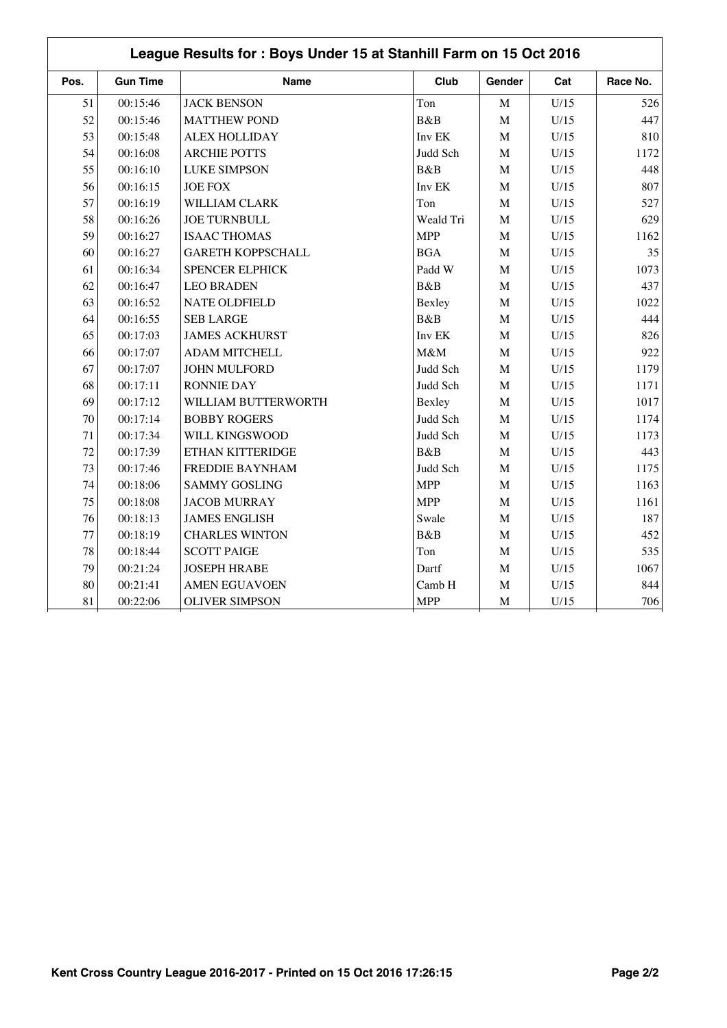| League Results for: Boys Under 15 at Stanhill Farm on 15 Oct 2016 |                 |                          |             |              |      |          |  |
|-------------------------------------------------------------------|-----------------|--------------------------|-------------|--------------|------|----------|--|
| Pos.                                                              | <b>Gun Time</b> | <b>Name</b>              | Club        | Gender       | Cat  | Race No. |  |
| 51                                                                | 00:15:46        | <b>JACK BENSON</b>       | Ton         | $\mathbf M$  | U/15 | 526      |  |
| 52                                                                | 00:15:46        | <b>MATTHEW POND</b>      | B&B         | $\mathbf M$  | U/15 | 447      |  |
| 53                                                                | 00:15:48        | <b>ALEX HOLLIDAY</b>     | Inv EK      | $\mathbf M$  | U/15 | 810      |  |
| 54                                                                | 00:16:08        | <b>ARCHIE POTTS</b>      | Judd Sch    | $\mathbf M$  | U/15 | 1172     |  |
| 55                                                                | 00:16:10        | <b>LUKE SIMPSON</b>      | <b>B</b> &B | $\mathbf M$  | U/15 | 448      |  |
| 56                                                                | 00:16:15        | <b>JOE FOX</b>           | Inv EK      | $\mathbf M$  | U/15 | 807      |  |
| 57                                                                | 00:16:19        | WILLIAM CLARK            | Ton         | $\mathbf M$  | U/15 | 527      |  |
| 58                                                                | 00:16:26        | <b>JOE TURNBULL</b>      | Weald Tri   | M            | U/15 | 629      |  |
| 59                                                                | 00:16:27        | <b>ISAAC THOMAS</b>      | <b>MPP</b>  | $\mathbf{M}$ | U/15 | 1162     |  |
| 60                                                                | 00:16:27        | <b>GARETH KOPPSCHALL</b> | <b>BGA</b>  | M            | U/15 | 35       |  |
| 61                                                                | 00:16:34        | <b>SPENCER ELPHICK</b>   | Padd W      | $\mathbf M$  | U/15 | 1073     |  |
| 62                                                                | 00:16:47        | <b>LEO BRADEN</b>        | B&B         | M            | U/15 | 437      |  |
| 63                                                                | 00:16:52        | <b>NATE OLDFIELD</b>     | Bexley      | M            | U/15 | 1022     |  |
| 64                                                                | 00:16:55        | <b>SEB LARGE</b>         | B&B         | $\mathbf M$  | U/15 | 444      |  |
| 65                                                                | 00:17:03        | <b>JAMES ACKHURST</b>    | Inv EK      | $\mathbf M$  | U/15 | 826      |  |
| 66                                                                | 00:17:07        | <b>ADAM MITCHELL</b>     | M&M         | M            | U/15 | 922      |  |
| 67                                                                | 00:17:07        | <b>JOHN MULFORD</b>      | Judd Sch    | $\mathbf M$  | U/15 | 1179     |  |
| 68                                                                | 00:17:11        | <b>RONNIE DAY</b>        | Judd Sch    | $\mathbf M$  | U/15 | 1171     |  |
| 69                                                                | 00:17:12        | WILLIAM BUTTERWORTH      | Bexley      | $\mathbf M$  | U/15 | 1017     |  |
| 70                                                                | 00:17:14        | <b>BOBBY ROGERS</b>      | Judd Sch    | $\mathbf M$  | U/15 | 1174     |  |
| 71                                                                | 00:17:34        | WILL KINGSWOOD           | Judd Sch    | $\mathbf M$  | U/15 | 1173     |  |
| 72                                                                | 00:17:39        | ETHAN KITTERIDGE         | B&B         | $\mathbf M$  | U/15 | 443      |  |
| 73                                                                | 00:17:46        | FREDDIE BAYNHAM          | Judd Sch    | $\mathbf M$  | U/15 | 1175     |  |
| 74                                                                | 00:18:06        | <b>SAMMY GOSLING</b>     | <b>MPP</b>  | M            | U/15 | 1163     |  |
| 75                                                                | 00:18:08        | <b>JACOB MURRAY</b>      | <b>MPP</b>  | $\mathbf M$  | U/15 | 1161     |  |
| 76                                                                | 00:18:13        | <b>JAMES ENGLISH</b>     | Swale       | $\mathbf M$  | U/15 | 187      |  |
| 77                                                                | 00:18:19        | <b>CHARLES WINTON</b>    | B&B         | M            | U/15 | 452      |  |
| 78                                                                | 00:18:44        | <b>SCOTT PAIGE</b>       | Ton         | M            | U/15 | 535      |  |
| 79                                                                | 00:21:24        | <b>JOSEPH HRABE</b>      | Dartf       | $\mathbf M$  | U/15 | 1067     |  |
| 80                                                                | 00:21:41        | <b>AMEN EGUAVOEN</b>     | Camb H      | M            | U/15 | 844      |  |
| 81                                                                | 00:22:06        | <b>OLIVER SIMPSON</b>    | <b>MPP</b>  | $\mathbf M$  | U/15 | 706      |  |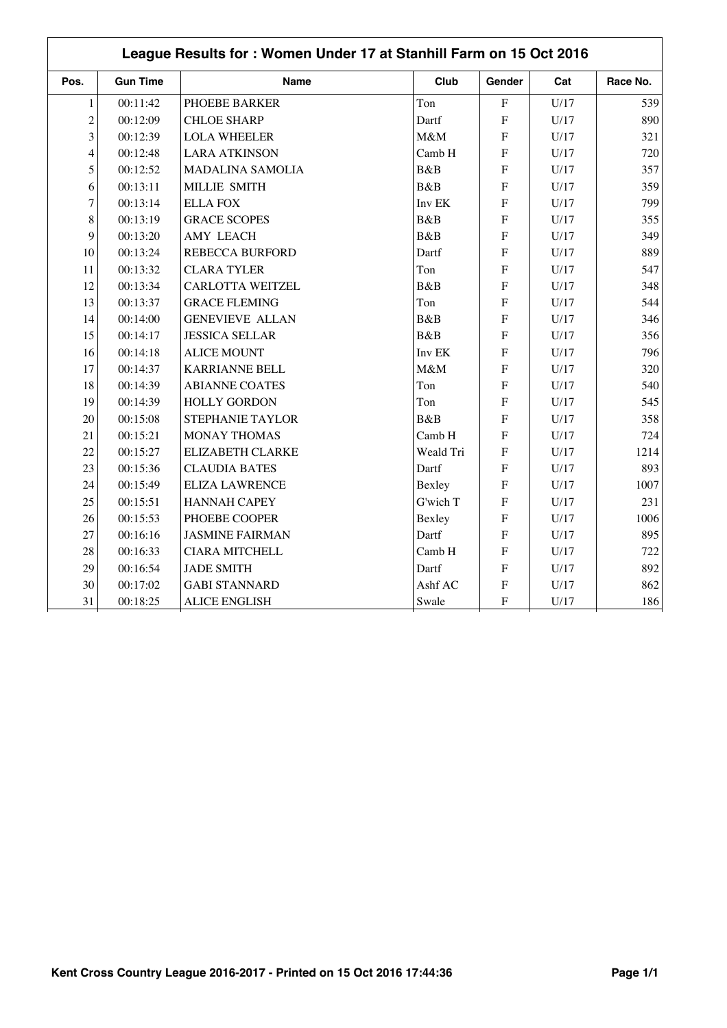| League Results for: Women Under 17 at Stanhill Farm on 15 Oct 2016 |                 |                         |           |                |      |          |  |
|--------------------------------------------------------------------|-----------------|-------------------------|-----------|----------------|------|----------|--|
| Pos.                                                               | <b>Gun Time</b> | <b>Name</b>             | Club      | Gender         | Cat  | Race No. |  |
| $\mathbf{1}$                                                       | 00:11:42        | PHOEBE BARKER           | Ton       | $\overline{F}$ | U/17 | 539      |  |
| $\overline{c}$                                                     | 00:12:09        | <b>CHLOE SHARP</b>      | Dartf     | $\mathbf F$    | U/17 | 890      |  |
| $\overline{3}$                                                     | 00:12:39        | <b>LOLA WHEELER</b>     | M&M       | F              | U/17 | 321      |  |
| $\overline{4}$                                                     | 00:12:48        | <b>LARA ATKINSON</b>    | Camb H    | $\mathbf{F}$   | U/17 | 720      |  |
| 5                                                                  | 00:12:52        | <b>MADALINA SAMOLIA</b> | B&B       | F              | U/17 | 357      |  |
| 6                                                                  | 00:13:11        | MILLIE SMITH            | B&B       | $\overline{F}$ | U/17 | 359      |  |
| $\overline{7}$                                                     | 00:13:14        | <b>ELLA FOX</b>         | Inv EK    | $\overline{F}$ | U/17 | 799      |  |
| 8                                                                  | 00:13:19        | <b>GRACE SCOPES</b>     | B&B       | $\mathbf F$    | U/17 | 355      |  |
| 9                                                                  | 00:13:20        | <b>AMY LEACH</b>        | B&B       | F              | U/17 | 349      |  |
| 10                                                                 | 00:13:24        | <b>REBECCA BURFORD</b>  | Dartf     | F              | U/17 | 889      |  |
| 11                                                                 | 00:13:32        | <b>CLARA TYLER</b>      | Ton       | $\overline{F}$ | U/17 | 547      |  |
| 12                                                                 | 00:13:34        | <b>CARLOTTA WEITZEL</b> | B&B       | F              | U/17 | 348      |  |
| 13                                                                 | 00:13:37        | <b>GRACE FLEMING</b>    | Ton       | $\overline{F}$ | U/17 | 544      |  |
| 14                                                                 | 00:14:00        | <b>GENEVIEVE ALLAN</b>  | B&B       | F              | U/17 | 346      |  |
| 15                                                                 | 00:14:17        | <b>JESSICA SELLAR</b>   | B&B       | $\mathbf{F}$   | U/17 | 356      |  |
| 16                                                                 | 00:14:18        | <b>ALICE MOUNT</b>      | Inv EK    | F              | U/17 | 796      |  |
| 17                                                                 | 00:14:37        | <b>KARRIANNE BELL</b>   | M&M       | $\mathbf{F}$   | U/17 | 320      |  |
| 18                                                                 | 00:14:39        | <b>ABIANNE COATES</b>   | Ton       | F              | U/17 | 540      |  |
| 19                                                                 | 00:14:39        | <b>HOLLY GORDON</b>     | Ton       | $\overline{F}$ | U/17 | 545      |  |
| 20                                                                 | 00:15:08        | STEPHANIE TAYLOR        | B&B       | F              | U/17 | 358      |  |
| 21                                                                 | 00:15:21        | <b>MONAY THOMAS</b>     | Camb H    | $\mathbf{F}$   | U/17 | 724      |  |
| 22                                                                 | 00:15:27        | <b>ELIZABETH CLARKE</b> | Weald Tri | F              | U/17 | 1214     |  |
| 23                                                                 | 00:15:36        | <b>CLAUDIA BATES</b>    | Dartf     | $\mathbf{F}$   | U/17 | 893      |  |
| 24                                                                 | 00:15:49        | <b>ELIZA LAWRENCE</b>   | Bexley    | F              | U/17 | 1007     |  |
| 25                                                                 | 00:15:51        | <b>HANNAH CAPEY</b>     | G'wich T  | $\mathbf F$    | U/17 | 231      |  |
| 26                                                                 | 00:15:53        | PHOEBE COOPER           | Bexley    | F              | U/17 | 1006     |  |
| 27                                                                 | 00:16:16        | <b>JASMINE FAIRMAN</b>  | Dartf     | $\mathbf F$    | U/17 | 895      |  |
| 28                                                                 | 00:16:33        | <b>CIARA MITCHELL</b>   | Camb H    | F              | U/17 | 722      |  |
| 29                                                                 | 00:16:54        | <b>JADE SMITH</b>       | Dartf     | $\mathbf F$    | U/17 | 892      |  |
| 30                                                                 | 00:17:02        | <b>GABI STANNARD</b>    | Ashf AC   | $\mathbf F$    | U/17 | 862      |  |
| 31                                                                 | 00:18:25        | <b>ALICE ENGLISH</b>    | Swale     | $\mathbf F$    | U/17 | 186      |  |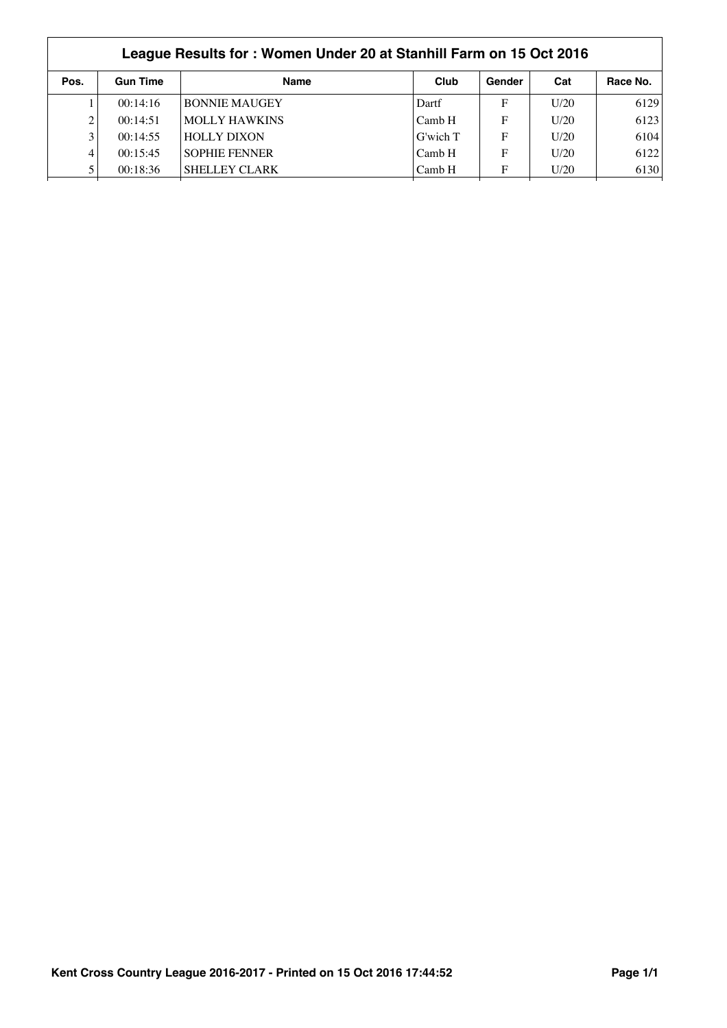|      | League Results for: Women Under 20 at Stanhill Farm on 15 Oct 2016 |                      |          |        |      |          |  |  |  |
|------|--------------------------------------------------------------------|----------------------|----------|--------|------|----------|--|--|--|
| Pos. | <b>Gun Time</b>                                                    | <b>Name</b>          | Club     | Gender | Cat  | Race No. |  |  |  |
|      | 00:14:16                                                           | <b>BONNIE MAUGEY</b> | Dartf    | F      | U/20 | 6129     |  |  |  |
| 2    | 00:14:51                                                           | <b>MOLLY HAWKINS</b> | Camb H   | F      | U/20 | 6123     |  |  |  |
| 3    | 00:14:55                                                           | <b>HOLLY DIXON</b>   | G'wich T | F      | U/20 | 6104     |  |  |  |
| 4    | 00:15:45                                                           | <b>SOPHIE FENNER</b> | Camb H   | F      | U/20 | 6122     |  |  |  |
|      | 00:18:36                                                           | <b>SHELLEY CLARK</b> | Camb H   | F      | U/20 | 6130     |  |  |  |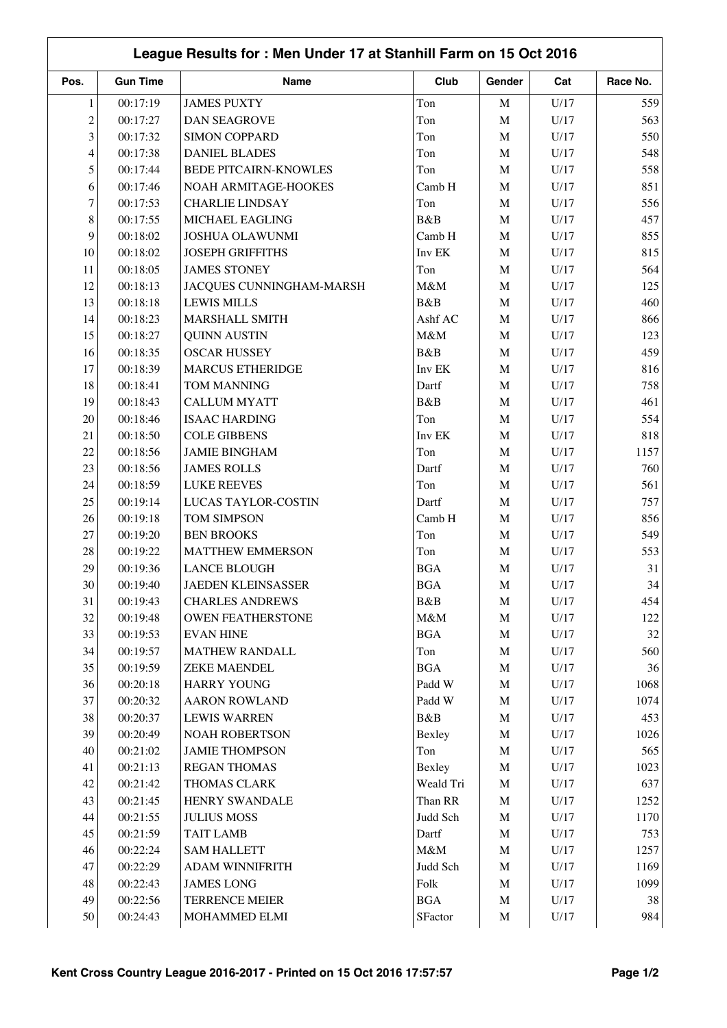|                | League Results for: Men Under 17 at Stanhill Farm on 15 Oct 2016 |                              |                     |             |                 |              |  |  |
|----------------|------------------------------------------------------------------|------------------------------|---------------------|-------------|-----------------|--------------|--|--|
| Pos.           | <b>Gun Time</b>                                                  | Name                         | Club                | Gender      | Cat             | Race No.     |  |  |
| $\mathbf{1}$   | 00:17:19                                                         | <b>JAMES PUXTY</b>           | Ton                 | $\mathbf M$ | U/17            | 559          |  |  |
| $\overline{c}$ | 00:17:27                                                         | <b>DAN SEAGROVE</b>          | Ton                 | $\mathbf M$ | U/17            | 563          |  |  |
| 3              | 00:17:32                                                         | <b>SIMON COPPARD</b>         | Ton                 | $\mathbf M$ | U/17            | 550          |  |  |
| $\overline{4}$ | 00:17:38                                                         | <b>DANIEL BLADES</b>         | Ton                 | $\mathbf M$ | U/17            | 548          |  |  |
| 5              | 00:17:44                                                         | <b>BEDE PITCAIRN-KNOWLES</b> | Ton                 | $\mathbf M$ | U/17            | 558          |  |  |
| 6              | 00:17:46                                                         | NOAH ARMITAGE-HOOKES         | Camb H              | $\mathbf M$ | U/17            | 851          |  |  |
| 7              | 00:17:53                                                         | <b>CHARLIE LINDSAY</b>       | Ton                 | $\mathbf M$ | U/17            | 556          |  |  |
| 8              | 00:17:55                                                         | MICHAEL EAGLING              | B&B                 | $\mathbf M$ | U/17            | 457          |  |  |
| 9              | 00:18:02                                                         | <b>JOSHUA OLAWUNMI</b>       | Camb H              | $\mathbf M$ | U/17            | 855          |  |  |
| 10             | 00:18:02                                                         | <b>JOSEPH GRIFFITHS</b>      | Inv EK              | $\mathbf M$ | U/17            | 815          |  |  |
| 11             | 00:18:05                                                         | <b>JAMES STONEY</b>          | Ton                 | $\mathbf M$ | U/17            | 564          |  |  |
| 12             | 00:18:13                                                         | JACQUES CUNNINGHAM-MARSH     | M&M                 | $\mathbf M$ | U/17            | 125          |  |  |
| 13             | 00:18:18                                                         | <b>LEWIS MILLS</b>           | B&B                 | $\mathbf M$ | U/17            | 460          |  |  |
| 14             | 00:18:23                                                         | MARSHALL SMITH               | Ashf AC             | $\mathbf M$ | U/17            | 866          |  |  |
| 15             | 00:18:27                                                         | <b>QUINN AUSTIN</b>          | M&M                 | $\mathbf M$ | U/17            | 123          |  |  |
| 16             | 00:18:35                                                         | <b>OSCAR HUSSEY</b>          | B&B                 | $\mathbf M$ | U/17            | 459          |  |  |
| 17             | 00:18:39                                                         | <b>MARCUS ETHERIDGE</b>      | Inv EK              | $\mathbf M$ | U/17            | 816          |  |  |
| 18             | 00:18:41                                                         | TOM MANNING                  | Dartf               | $\mathbf M$ | U/17            | 758          |  |  |
| 19             | 00:18:43                                                         | <b>CALLUM MYATT</b>          | B&B                 | $\mathbf M$ | U/17            | 461          |  |  |
| 20             | 00:18:46                                                         | <b>ISAAC HARDING</b>         | Ton                 | $\mathbf M$ | U/17            | 554          |  |  |
| 21             | 00:18:50                                                         | <b>COLE GIBBENS</b>          | Inv EK              | $\mathbf M$ | U/17            | 818          |  |  |
| 22             | 00:18:56                                                         | <b>JAMIE BINGHAM</b>         | Ton                 | $\mathbf M$ | U/17            | 1157         |  |  |
| 23             | 00:18:56                                                         | <b>JAMES ROLLS</b>           | Dartf               | $\mathbf M$ | U/17            | 760          |  |  |
| 24             | 00:18:59                                                         | <b>LUKE REEVES</b>           | Ton                 | $\mathbf M$ | U/17            | 561          |  |  |
| 25             | 00:19:14                                                         | LUCAS TAYLOR-COSTIN          | Dartf               | $\mathbf M$ | U/17            | 757          |  |  |
| 26             | 00:19:18                                                         | TOM SIMPSON                  | Camb H              | $\mathbf M$ | U/17            | 856          |  |  |
| 27             | 00:19:20                                                         | <b>BEN BROOKS</b>            | Ton                 | $\mathbf M$ | U/17            | 549          |  |  |
| 28             | 00:19:22                                                         | <b>MATTHEW EMMERSON</b>      | Ton                 | $\mathbf M$ | U/17            | 553          |  |  |
| 29             | 00:19:36                                                         | <b>LANCE BLOUGH</b>          | <b>BGA</b>          | $\mathbf M$ | U/17            | 31           |  |  |
| 30             | 00:19:40                                                         | <b>JAEDEN KLEINSASSER</b>    | <b>BGA</b>          | M           | U/17            | 34           |  |  |
| 31             | 00:19:43                                                         | <b>CHARLES ANDREWS</b>       | B&B                 | $\mathbf M$ | U/17            | 454          |  |  |
| 32             | 00:19:48                                                         | OWEN FEATHERSTONE            | M&M                 | $\mathbf M$ | U/17            | 122          |  |  |
| 33             | 00:19:53                                                         | <b>EVAN HINE</b>             | <b>BGA</b>          | $\mathbf M$ | U/17            | 32           |  |  |
| 34             | 00:19:57                                                         | <b>MATHEW RANDALL</b>        | Ton                 | $\mathbf M$ | U/17            | 560          |  |  |
| 35             | 00:19:59                                                         | <b>ZEKE MAENDEL</b>          | <b>BGA</b>          | $\mathbf M$ | U/17            | 36           |  |  |
| 36             | 00:20:18                                                         | <b>HARRY YOUNG</b>           | Padd W              | $\mathbf M$ | $\mathrm{U}/17$ | 1068         |  |  |
| 37             | 00:20:32                                                         | <b>AARON ROWLAND</b>         | Padd W              | $\mathbf M$ | U/17            | 1074         |  |  |
| 38             | 00:20:37                                                         | <b>LEWIS WARREN</b>          | B&B                 | $\mathbf M$ | U/17            | 453          |  |  |
| 39             | 00:20:49                                                         | <b>NOAH ROBERTSON</b>        | Bexley              | $\mathbf M$ | U/17            | 1026         |  |  |
| 40             | 00:21:02                                                         | <b>JAMIE THOMPSON</b>        | Ton                 | $\mathbf M$ | $\mathrm{U}/17$ | 565          |  |  |
| 41             | 00:21:13                                                         | <b>REGAN THOMAS</b>          |                     | $\mathbf M$ | U/17            | 1023         |  |  |
| 42             | 00:21:42                                                         | THOMAS CLARK                 | Bexley<br>Weald Tri | $\mathbf M$ | U/17            | 637          |  |  |
| 43             | 00:21:45                                                         | HENRY SWANDALE               | Than RR             | $\mathbf M$ | $\mathrm{U}/17$ | 1252         |  |  |
| 44             | 00:21:55                                                         | <b>JULIUS MOSS</b>           | Judd Sch            | $\mathbf M$ | U/17            | 1170         |  |  |
| 45             |                                                                  | <b>TAIT LAMB</b>             | Dartf               | $\mathbf M$ | U/17            | 753          |  |  |
|                | 00:21:59                                                         |                              |                     |             |                 |              |  |  |
| 46<br>47       | 00:22:24                                                         | <b>SAM HALLETT</b>           | $M\&M$              | $\mathbf M$ | U/17            | 1257<br>1169 |  |  |
|                | 00:22:29                                                         | ADAM WINNIFRITH              | Judd Sch            | $\mathbf M$ | U/17            |              |  |  |
| 48             | 00:22:43                                                         | <b>JAMES LONG</b>            | ${\rm Folk}$        | $\mathbf M$ | U/17            | 1099         |  |  |
| 49             | 00:22:56                                                         | TERRENCE MEIER               | $\rm BGA$           | $\mathbf M$ | U/17            | 38           |  |  |
| 50             | 00:24:43                                                         | MOHAMMED ELMI                | SFactor             | $\mathbf M$ | U/17            | 984          |  |  |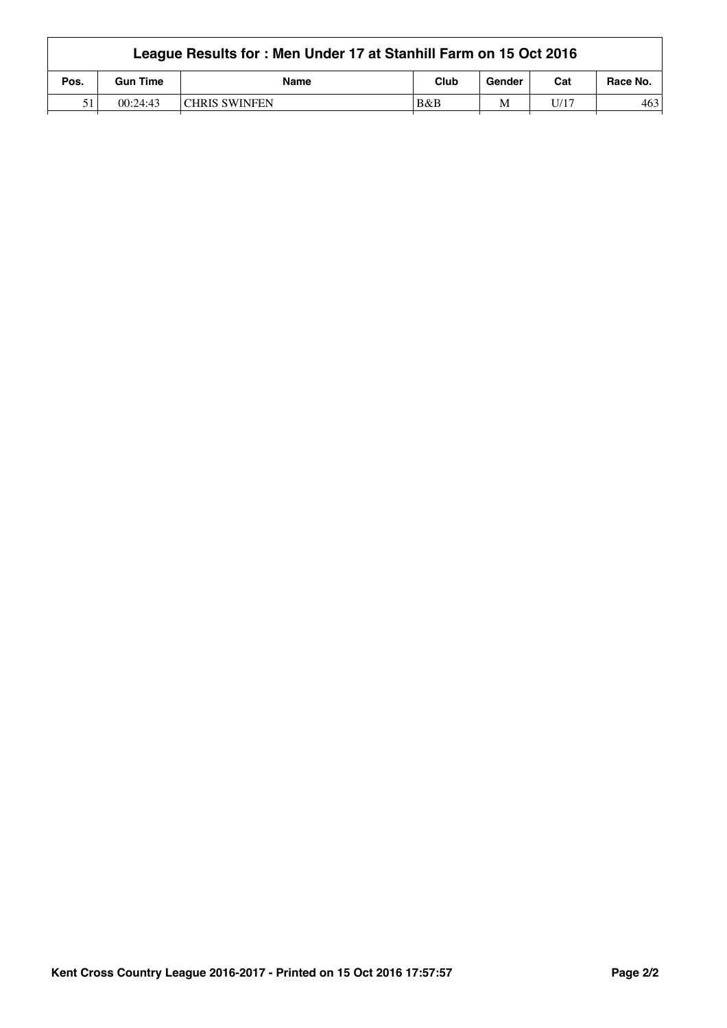|      | League Results for: Men Under 17 at Stanhill Farm on 15 Oct 2016 |                       |      |        |      |          |  |  |  |
|------|------------------------------------------------------------------|-----------------------|------|--------|------|----------|--|--|--|
| Pos. | <b>Gun Time</b>                                                  | <b>Name</b>           | Club | Gender | Cat  | Race No. |  |  |  |
| 51   | 00:24:43                                                         | <b>ICHRIS SWINFEN</b> | B&B  | M      | U 17 | 463      |  |  |  |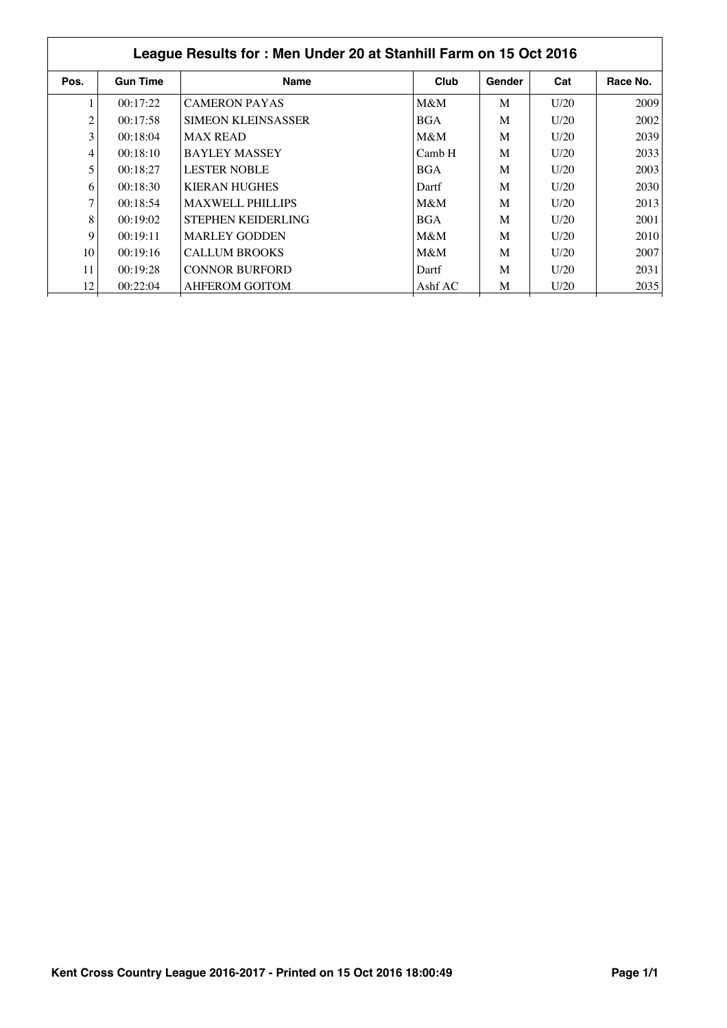| <b>Gun Time</b> |                      |                                                                                                                                                                                                                                                                 |        |      |          |
|-----------------|----------------------|-----------------------------------------------------------------------------------------------------------------------------------------------------------------------------------------------------------------------------------------------------------------|--------|------|----------|
|                 | <b>Name</b>          | Club                                                                                                                                                                                                                                                            | Gender | Cat  | Race No. |
| 00:17:22        | <b>CAMERON PAYAS</b> | $M\&M$                                                                                                                                                                                                                                                          | M      | U/20 | 2009     |
| 00:17:58        |                      | <b>BGA</b>                                                                                                                                                                                                                                                      | M      | U/20 | 2002     |
| 00:18:04        |                      | M&M                                                                                                                                                                                                                                                             | M      | U/20 | 2039     |
| 00:18:10        |                      | Camb H                                                                                                                                                                                                                                                          | M      | U/20 | 2033     |
| 00:18:27        |                      | <b>BGA</b>                                                                                                                                                                                                                                                      | M      | U/20 | 2003     |
| 00:18:30        |                      | Dartf                                                                                                                                                                                                                                                           | M      | U/20 | 2030     |
| 00:18:54        |                      | $M\&M$                                                                                                                                                                                                                                                          | M      | U/20 | 2013     |
| 00:19:02        |                      | <b>BGA</b>                                                                                                                                                                                                                                                      | M      | U/20 | 2001     |
| 00:19:11        |                      | M&M                                                                                                                                                                                                                                                             | M      | U/20 | 2010     |
| 00:19:16        |                      | $M\&M$                                                                                                                                                                                                                                                          | M      | U/20 | 2007     |
| 00:19:28        |                      | Dartf                                                                                                                                                                                                                                                           | M      | U/20 | 2031     |
| 00:22:04        |                      | Ashf AC                                                                                                                                                                                                                                                         | M      | U/20 | 2035     |
|                 |                      | <b>SIMEON KLEINSASSER</b><br><b>MAX READ</b><br><b>BAYLEY MASSEY</b><br><b>LESTER NOBLE</b><br><b>KIERAN HUGHES</b><br><b>MAXWELL PHILLIPS</b><br>STEPHEN KEIDERLING<br><b>MARLEY GODDEN</b><br><b>CALLUM BROOKS</b><br><b>CONNOR BURFORD</b><br>AHFEROM GOITOM |        |      |          |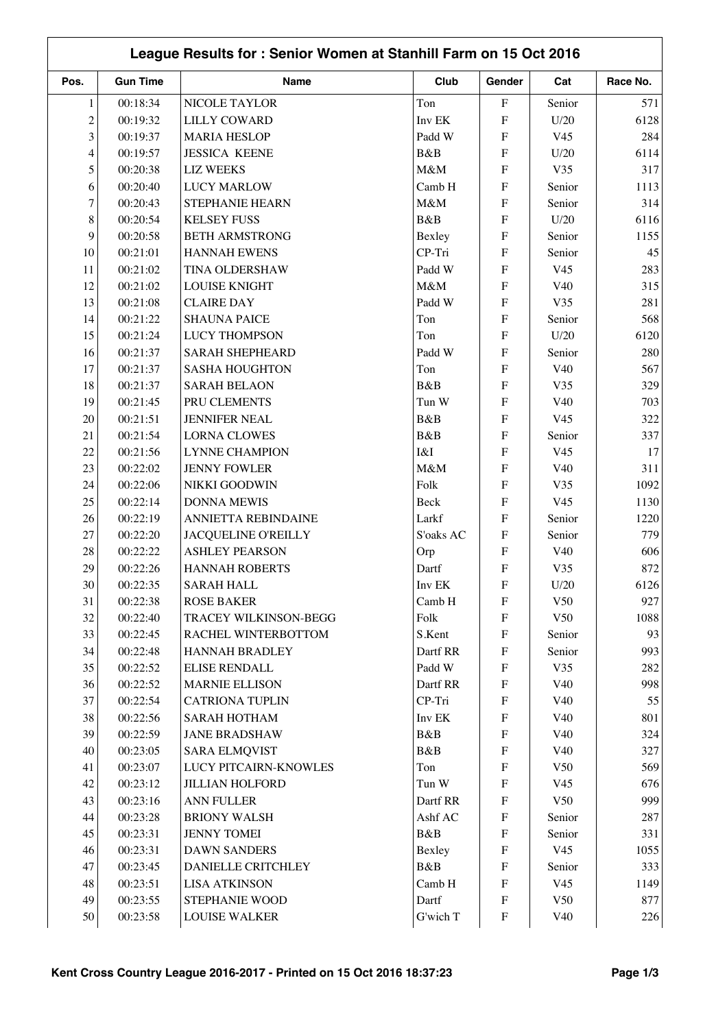|                | League Results for: Senior Women at Stanhill Farm on 15 Oct 2016 |                        |           |                           |                 |          |  |
|----------------|------------------------------------------------------------------|------------------------|-----------|---------------------------|-----------------|----------|--|
| Pos.           | <b>Gun Time</b>                                                  | Name                   | Club      | Gender                    | Cat             | Race No. |  |
| 1              | 00:18:34                                                         | NICOLE TAYLOR          | Ton       | $\boldsymbol{\mathrm{F}}$ | Senior          | 571      |  |
| $\overline{c}$ | 00:19:32                                                         | <b>LILLY COWARD</b>    | Inv EK    | ${\bf F}$                 | U/20            | 6128     |  |
| 3              | 00:19:37                                                         | <b>MARIA HESLOP</b>    | Padd W    | ${\bf F}$                 | V <sub>45</sub> | 284      |  |
| 4              | 00:19:57                                                         | <b>JESSICA KEENE</b>   | B&B       | ${\bf F}$                 | U/20            | 6114     |  |
| 5              | 00:20:38                                                         | <b>LIZ WEEKS</b>       | M&M       | ${\bf F}$                 | V35             | 317      |  |
| 6              | 00:20:40                                                         | <b>LUCY MARLOW</b>     | Camb H    | ${\bf F}$                 | Senior          | 1113     |  |
| $\tau$         | 00:20:43                                                         | STEPHANIE HEARN        | M&M       | ${\bf F}$                 | Senior          | 314      |  |
| 8              | 00:20:54                                                         | <b>KELSEY FUSS</b>     | B&B       | ${\bf F}$                 | U/20            | 6116     |  |
| 9              | 00:20:58                                                         | <b>BETH ARMSTRONG</b>  | Bexley    | ${\bf F}$                 | Senior          | 1155     |  |
| 10             | 00:21:01                                                         | <b>HANNAH EWENS</b>    | CP-Tri    | ${\bf F}$                 | Senior          | 45       |  |
| 11             | 00:21:02                                                         | TINA OLDERSHAW         | Padd W    | ${\bf F}$                 | V <sub>45</sub> | 283      |  |
| 12             | 00:21:02                                                         | <b>LOUISE KNIGHT</b>   | M&M       | ${\bf F}$                 | V40             | 315      |  |
| 13             | 00:21:08                                                         | <b>CLAIRE DAY</b>      | Padd W    | ${\bf F}$                 | V35             | 281      |  |
| 14             | 00:21:22                                                         | <b>SHAUNA PAICE</b>    | Ton       | ${\bf F}$                 | Senior          | 568      |  |
| 15             | 00:21:24                                                         | <b>LUCY THOMPSON</b>   | Ton       | ${\bf F}$                 | U/20            | 6120     |  |
| 16             | 00:21:37                                                         | <b>SARAH SHEPHEARD</b> | Padd W    | ${\bf F}$                 | Senior          | 280      |  |
| 17             | 00:21:37                                                         | <b>SASHA HOUGHTON</b>  | Ton       | ${\bf F}$                 | V40             | 567      |  |
| 18             | 00:21:37                                                         | <b>SARAH BELAON</b>    | B&B       | ${\bf F}$                 | V35             | 329      |  |
| 19             | 00:21:45                                                         | PRU CLEMENTS           | Tun W     | ${\bf F}$                 | V40             | 703      |  |
| 20             | 00:21:51                                                         | <b>JENNIFER NEAL</b>   | B&B       | ${\bf F}$                 | V <sub>45</sub> | 322      |  |
| 21             | 00:21:54                                                         | <b>LORNA CLOWES</b>    | B&B       | ${\bf F}$                 | Senior          | 337      |  |
| 22             | 00:21:56                                                         | <b>LYNNE CHAMPION</b>  | I&I       | ${\bf F}$                 | V <sub>45</sub> | 17       |  |
| 23             | 00:22:02                                                         | <b>JENNY FOWLER</b>    | M&M       | ${\bf F}$                 | V40             | 311      |  |
| 24             | 00:22:06                                                         | NIKKI GOODWIN          | Folk      | ${\bf F}$                 | V35             | 1092     |  |
| 25             | 00:22:14                                                         | <b>DONNA MEWIS</b>     | Beck      | ${\bf F}$                 | V <sub>45</sub> | 1130     |  |
| 26             | 00:22:19                                                         | ANNIETTA REBINDAINE    | Larkf     | ${\bf F}$                 | Senior          | 1220     |  |
| 27             | 00:22:20                                                         | JACQUELINE O'REILLY    | S'oaks AC | ${\bf F}$                 | Senior          | 779      |  |
| 28             | 00:22:22                                                         | <b>ASHLEY PEARSON</b>  | Orp       | ${\bf F}$                 | V40             | 606      |  |
| 29             | 00:22:26                                                         | <b>HANNAH ROBERTS</b>  | Dartf     | ${\bf F}$                 | V35             | 872      |  |
| $30\,$         | 00:22:35                                                         | <b>SARAH HALL</b>      | Inv EK    | $\boldsymbol{\mathrm{F}}$ | U/20            | 6126     |  |
| 31             | 00:22:38                                                         | <b>ROSE BAKER</b>      | Camb H    | ${\bf F}$                 | V50             | 927      |  |
| 32             | 00:22:40                                                         | TRACEY WILKINSON-BEGG  | Folk      | ${\bf F}$                 | V50             | 1088     |  |
| 33             | 00:22:45                                                         | RACHEL WINTERBOTTOM    | S.Kent    | ${\bf F}$                 | Senior          | 93       |  |
| 34             | 00:22:48                                                         | <b>HANNAH BRADLEY</b>  | Dartf RR  | ${\bf F}$                 | Senior          | 993      |  |
| 35             | 00:22:52                                                         | <b>ELISE RENDALL</b>   | Padd W    | ${\bf F}$                 | V35             | 282      |  |
| 36             | 00:22:52                                                         | <b>MARNIE ELLISON</b>  | Dartf RR  | ${\bf F}$                 | V40             | 998      |  |
| 37             | 00:22:54                                                         | <b>CATRIONA TUPLIN</b> | CP-Tri    | ${\bf F}$                 | V40             | 55       |  |
| 38             | 00:22:56                                                         | <b>SARAH HOTHAM</b>    | Inv EK    | ${\bf F}$                 | V40             | 801      |  |
| 39             | 00:22:59                                                         | <b>JANE BRADSHAW</b>   | B&B       | ${\bf F}$                 | V40             | 324      |  |
| 40             | 00:23:05                                                         | <b>SARA ELMQVIST</b>   | B&B       | ${\bf F}$                 | V40             | 327      |  |
| 41             | 00:23:07                                                         | LUCY PITCAIRN-KNOWLES  | Ton       | $\boldsymbol{\mathrm{F}}$ | V50             | 569      |  |
| 42             | 00:23:12                                                         | <b>JILLIAN HOLFORD</b> | Tun W     | ${\bf F}$                 | V <sub>45</sub> | 676      |  |
| 43             | 00:23:16                                                         | ANN FULLER             | Dartf RR  | $\boldsymbol{\mathrm{F}}$ | V50             | 999      |  |
| 44             | 00:23:28                                                         | <b>BRIONY WALSH</b>    | Ashf AC   | ${\bf F}$                 | Senior          | 287      |  |
| 45             | 00:23:31                                                         | <b>JENNY TOMEI</b>     | B&B       | $\boldsymbol{\mathrm{F}}$ | Senior          | 331      |  |
| 46             | 00:23:31                                                         | <b>DAWN SANDERS</b>    | Bexley    | $\boldsymbol{\mathrm{F}}$ | V <sub>45</sub> | 1055     |  |
| 47             | 00:23:45                                                         | DANIELLE CRITCHLEY     | B&B       | ${\bf F}$                 | Senior          | 333      |  |
| 48             | 00:23:51                                                         | <b>LISA ATKINSON</b>   | Camb H    | ${\bf F}$                 | V <sub>45</sub> | 1149     |  |
| 49             | 00:23:55                                                         | STEPHANIE WOOD         | Dartf     | $\boldsymbol{\mathrm{F}}$ | V50             | 877      |  |
| 50             | 00:23:58                                                         | <b>LOUISE WALKER</b>   | G'wich T  | ${\bf F}$                 | V40             | 226      |  |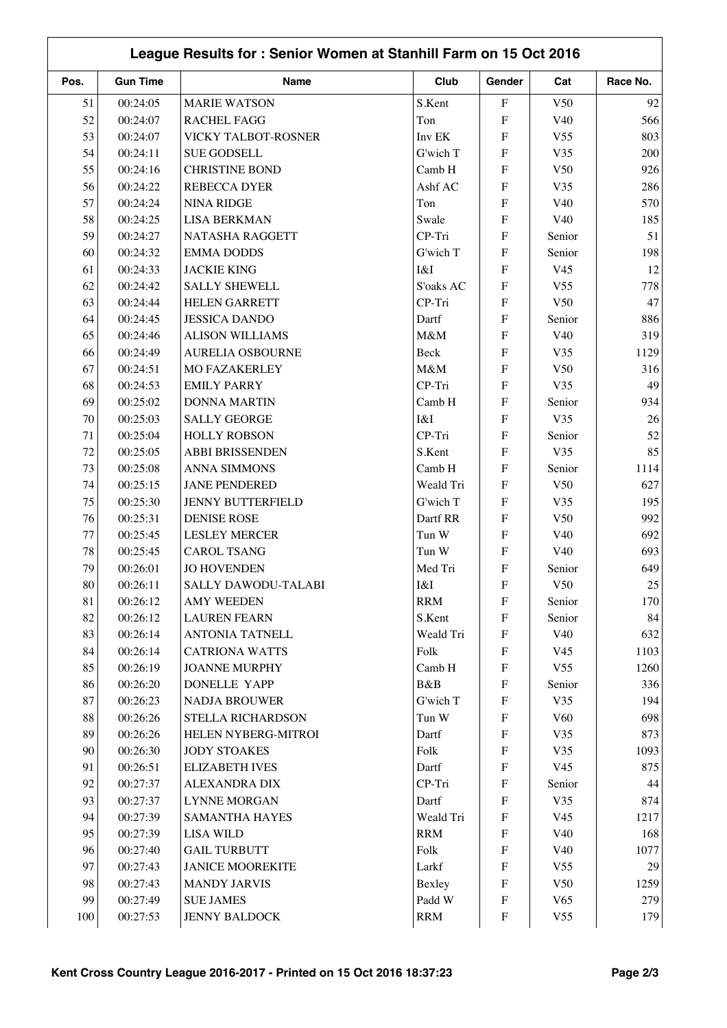|      | League Results for: Senior Women at Stanhill Farm on 15 Oct 2016 |                          |            |                           |                 |          |  |  |
|------|------------------------------------------------------------------|--------------------------|------------|---------------------------|-----------------|----------|--|--|
| Pos. | <b>Gun Time</b>                                                  | Name                     | Club       | Gender                    | Cat             | Race No. |  |  |
| 51   | 00:24:05                                                         | <b>MARIE WATSON</b>      | S.Kent     | ${\bf F}$                 | V <sub>50</sub> | 92       |  |  |
| 52   | 00:24:07                                                         | <b>RACHEL FAGG</b>       | Ton        | $\mathbf{F}$              | V40             | 566      |  |  |
| 53   | 00:24:07                                                         | VICKY TALBOT-ROSNER      | Inv EK     | $\boldsymbol{\mathrm{F}}$ | V <sub>55</sub> | 803      |  |  |
| 54   | 00:24:11                                                         | <b>SUE GODSELL</b>       | G'wich T   | $\mathbf{F}$              | V35             | 200      |  |  |
| 55   | 00:24:16                                                         | <b>CHRISTINE BOND</b>    | Camb H     | $\mathbf{F}$              | V <sub>50</sub> | 926      |  |  |
| 56   | 00:24:22                                                         | REBECCA DYER             | Ashf AC    | $\boldsymbol{\mathrm{F}}$ | V35             | 286      |  |  |
| 57   | 00:24:24                                                         | <b>NINA RIDGE</b>        | Ton        | $\boldsymbol{\mathrm{F}}$ | V40             | 570      |  |  |
| 58   | 00:24:25                                                         | <b>LISA BERKMAN</b>      | Swale      | $\mathbf F$               | V40             | 185      |  |  |
| 59   | 00:24:27                                                         | NATASHA RAGGETT          | CP-Tri     | $\mathbf{F}$              | Senior          | 51       |  |  |
| 60   | 00:24:32                                                         | <b>EMMA DODDS</b>        | G'wich T   | $\boldsymbol{\mathrm{F}}$ | Senior          | 198      |  |  |
| 61   | 00:24:33                                                         | <b>JACKIE KING</b>       | I&I        | $\mathbf{F}$              | V <sub>45</sub> | 12       |  |  |
| 62   | 00:24:42                                                         | <b>SALLY SHEWELL</b>     | S'oaks AC  | $\mathbf{F}$              | V <sub>55</sub> | 778      |  |  |
| 63   | 00:24:44                                                         | <b>HELEN GARRETT</b>     | CP-Tri     | $\mathbf{F}$              | V50             | 47       |  |  |
| 64   | 00:24:45                                                         | <b>JESSICA DANDO</b>     | Dartf      | $\mathbf{F}$              | Senior          | 886      |  |  |
| 65   | 00:24:46                                                         | <b>ALISON WILLIAMS</b>   | M&M        | $\boldsymbol{\mathrm{F}}$ | V40             | 319      |  |  |
| 66   | 00:24:49                                                         | <b>AURELIA OSBOURNE</b>  | Beck       | $\boldsymbol{\mathrm{F}}$ | V35             | 1129     |  |  |
| 67   | 00:24:51                                                         | <b>MO FAZAKERLEY</b>     | M&M        | $\mathbf{F}$              | V50             | 316      |  |  |
| 68   | 00:24:53                                                         | <b>EMILY PARRY</b>       | CP-Tri     | $\boldsymbol{\mathrm{F}}$ | V35             | 49       |  |  |
| 69   | 00:25:02                                                         | <b>DONNA MARTIN</b>      | Camb H     | $\mathbf{F}$              | Senior          | 934      |  |  |
| 70   | 00:25:03                                                         | <b>SALLY GEORGE</b>      | I&I        | $\mathbf{F}$              | V35             | 26       |  |  |
| 71   | 00:25:04                                                         | <b>HOLLY ROBSON</b>      | CP-Tri     | $\boldsymbol{\mathrm{F}}$ | Senior          | 52       |  |  |
| 72   | 00:25:05                                                         | <b>ABBI BRISSENDEN</b>   | S.Kent     | $\boldsymbol{\mathrm{F}}$ | V35             | 85       |  |  |
| 73   | 00:25:08                                                         | <b>ANNA SIMMONS</b>      | Camb H     | ${\bf F}$                 | Senior          | 1114     |  |  |
| 74   | 00:25:15                                                         | <b>JANE PENDERED</b>     | Weald Tri  | $\mathbf{F}$              | V50             | 627      |  |  |
| 75   | 00:25:30                                                         | <b>JENNY BUTTERFIELD</b> | G'wich T   | $\mathbf{F}$              | V35             | 195      |  |  |
| 76   | 00:25:31                                                         | <b>DENISE ROSE</b>       | Dartf RR   | $\mathbf{F}$              | V50             | 992      |  |  |
| 77   | 00:25:45                                                         | <b>LESLEY MERCER</b>     | Tun W      | $\mathbf{F}$              | V40             | 692      |  |  |
| 78   | 00:25:45                                                         | <b>CAROL TSANG</b>       | Tun W      | $\mathbf{F}$              | V40             | 693      |  |  |
| 79   | 00:26:01                                                         | <b>JO HOVENDEN</b>       | Med Tri    | $\mathbf F$               | Senior          | 649      |  |  |
| 80   | 00:26:11                                                         | SALLY DAWODU-TALABI      | I&I        | F                         | V50             | $25\,$   |  |  |
| 81   | 00:26:12                                                         | <b>AMY WEEDEN</b>        | <b>RRM</b> | $\boldsymbol{\mathrm{F}}$ | Senior          | 170      |  |  |
| 82   | 00:26:12                                                         | <b>LAUREN FEARN</b>      | S.Kent     | $\boldsymbol{\mathrm{F}}$ | Senior          | 84       |  |  |
| 83   | 00:26:14                                                         | <b>ANTONIA TATNELL</b>   | Weald Tri  | $\boldsymbol{\mathrm{F}}$ | V40             | 632      |  |  |
| 84   | 00:26:14                                                         | <b>CATRIONA WATTS</b>    | Folk       | $\boldsymbol{\mathrm{F}}$ | V45             | 1103     |  |  |
| 85   | 00:26:19                                                         | <b>JOANNE MURPHY</b>     | Camb H     | $\boldsymbol{\mathrm{F}}$ | V <sub>55</sub> | 1260     |  |  |
| 86   | 00:26:20                                                         | <b>DONELLE YAPP</b>      | B&B        | $\boldsymbol{\mathrm{F}}$ | Senior          | 336      |  |  |
| 87   | 00:26:23                                                         | <b>NADJA BROUWER</b>     | G'wich T   | $\boldsymbol{\mathrm{F}}$ | V35             | 194      |  |  |
| 88   | 00:26:26                                                         | STELLA RICHARDSON        | Tun W      | $\boldsymbol{\mathrm{F}}$ | V60             | 698      |  |  |
| 89   | 00:26:26                                                         | HELEN NYBERG-MITROI      | Dartf      | $\boldsymbol{\mathrm{F}}$ | V35             | 873      |  |  |
| 90   | 00:26:30                                                         | <b>JODY STOAKES</b>      | Folk       | $\boldsymbol{\mathrm{F}}$ | V35             | 1093     |  |  |
| 91   | 00:26:51                                                         | <b>ELIZABETH IVES</b>    | Dartf      | $\boldsymbol{\mathrm{F}}$ | V <sub>45</sub> | 875      |  |  |
| 92   | 00:27:37                                                         | <b>ALEXANDRA DIX</b>     | CP-Tri     | $\boldsymbol{\mathrm{F}}$ | Senior          | 44       |  |  |
| 93   | 00:27:37                                                         | <b>LYNNE MORGAN</b>      | Dartf      | $\boldsymbol{\mathrm{F}}$ | V35             | 874      |  |  |
| 94   | 00:27:39                                                         | SAMANTHA HAYES           | Weald Tri  | $\boldsymbol{\mathrm{F}}$ | V45             | 1217     |  |  |
| 95   | 00:27:39                                                         | <b>LISA WILD</b>         | <b>RRM</b> | $\boldsymbol{\mathrm{F}}$ | V40             | 168      |  |  |
| 96   | 00:27:40                                                         | <b>GAIL TURBUTT</b>      | Folk       | $\boldsymbol{\mathrm{F}}$ | V40             | 1077     |  |  |
| 97   | 00:27:43                                                         | <b>JANICE MOOREKITE</b>  | Larkf      | $\boldsymbol{\mathrm{F}}$ | V <sub>55</sub> | 29       |  |  |
| 98   | 00:27:43                                                         | <b>MANDY JARVIS</b>      | Bexley     | $\boldsymbol{\mathrm{F}}$ | V50             | 1259     |  |  |
| 99   | 00:27:49                                                         | <b>SUE JAMES</b>         | Padd W     | $\boldsymbol{\mathrm{F}}$ | V <sub>65</sub> | 279      |  |  |
| 100  | 00:27:53                                                         | JENNY BALDOCK            | <b>RRM</b> | $\boldsymbol{\mathrm{F}}$ | V <sub>55</sub> | 179      |  |  |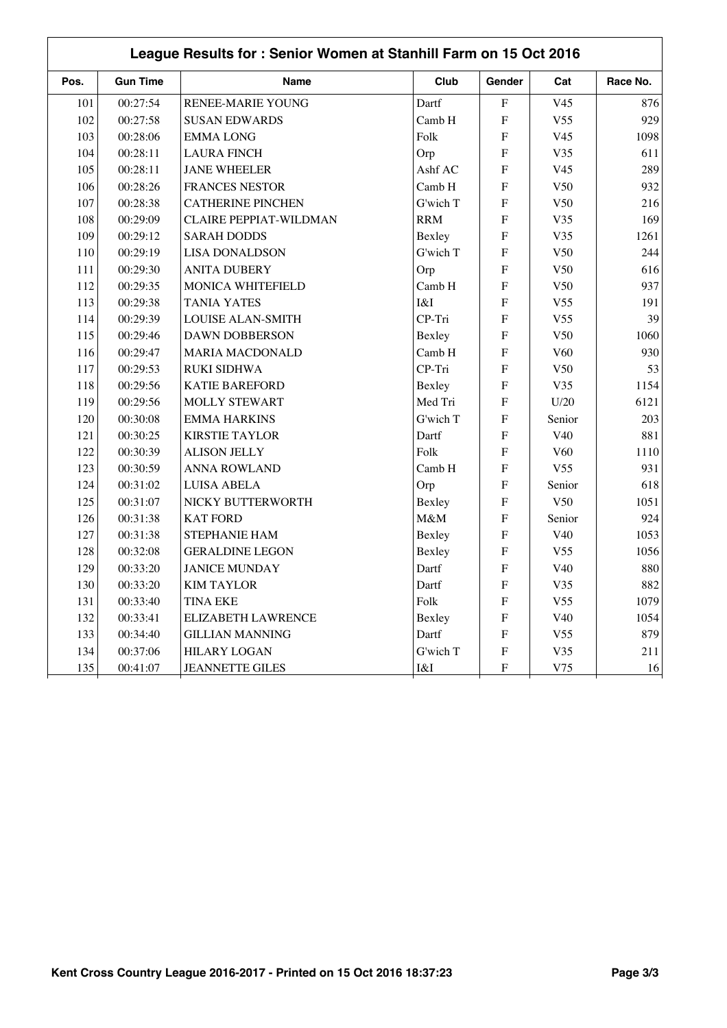| Pos. | <b>Gun Time</b> | Name                      | Club       | Gender                    | Cat             | Race No. |
|------|-----------------|---------------------------|------------|---------------------------|-----------------|----------|
| 101  | 00:27:54        | <b>RENEE-MARIE YOUNG</b>  | Dartf      | $\rm F$                   | V <sub>45</sub> | 876      |
| 102  | 00:27:58        | <b>SUSAN EDWARDS</b>      | Camb H     | $\boldsymbol{\mathrm{F}}$ | V <sub>55</sub> | 929      |
| 103  | 00:28:06        | <b>EMMALONG</b>           | Folk       | F                         | V <sub>45</sub> | 1098     |
| 104  | 00:28:11        | <b>LAURA FINCH</b>        | Orp        | $\boldsymbol{\mathrm{F}}$ | V35             | 611      |
| 105  | 00:28:11        | <b>JANE WHEELER</b>       | Ashf AC    | $\boldsymbol{\mathrm{F}}$ | V <sub>45</sub> | 289      |
| 106  | 00:28:26        | <b>FRANCES NESTOR</b>     | Camb H     | $\boldsymbol{\mathrm{F}}$ | V50             | 932      |
| 107  | 00:28:38        | <b>CATHERINE PINCHEN</b>  | G'wich T   | $\boldsymbol{\mathrm{F}}$ | V50             | 216      |
| 108  | 00:29:09        | CLAIRE PEPPIAT-WILDMAN    | <b>RRM</b> | $\boldsymbol{\mathrm{F}}$ | V35             | 169      |
| 109  | 00:29:12        | <b>SARAH DODDS</b>        | Bexley     | $\boldsymbol{\mathrm{F}}$ | V35             | 1261     |
| 110  | 00:29:19        | <b>LISA DONALDSON</b>     | G'wich T   | $\boldsymbol{\mathrm{F}}$ | V50             | 244      |
| 111  | 00:29:30        | <b>ANITA DUBERY</b>       | Orp        | $\boldsymbol{\mathrm{F}}$ | V50             | 616      |
| 112  | 00:29:35        | MONICA WHITEFIELD         | Camb H     | $\mathbf F$               | V50             | 937      |
| 113  | 00:29:38        | <b>TANIA YATES</b>        | I&I        | $\boldsymbol{\mathrm{F}}$ | V <sub>55</sub> | 191      |
| 114  | 00:29:39        | <b>LOUISE ALAN-SMITH</b>  | CP-Tri     | F                         | V <sub>55</sub> | 39       |
| 115  | 00:29:46        | <b>DAWN DOBBERSON</b>     | Bexley     | $\boldsymbol{\mathrm{F}}$ | V50             | 1060     |
| 116  | 00:29:47        | <b>MARIA MACDONALD</b>    | Camb H     | $\boldsymbol{\mathrm{F}}$ | V <sub>60</sub> | 930      |
| 117  | 00:29:53        | <b>RUKI SIDHWA</b>        | CP-Tri     | $\boldsymbol{\mathrm{F}}$ | V50             | 53       |
| 118  | 00:29:56        | <b>KATIE BAREFORD</b>     | Bexley     | $\boldsymbol{\mathrm{F}}$ | V35             | 1154     |
| 119  | 00:29:56        | <b>MOLLY STEWART</b>      | Med Tri    | ${\bf F}$                 | U/20            | 6121     |
| 120  | 00:30:08        | <b>EMMA HARKINS</b>       | G'wich T   | ${\bf F}$                 | Senior          | 203      |
| 121  | 00:30:25        | <b>KIRSTIE TAYLOR</b>     | Dartf      | $\boldsymbol{\mathrm{F}}$ | V40             | 881      |
| 122  | 00:30:39        | <b>ALISON JELLY</b>       | Folk       | $\boldsymbol{\mathrm{F}}$ | V <sub>60</sub> | 1110     |
| 123  | 00:30:59        | <b>ANNA ROWLAND</b>       | Camb H     | $\boldsymbol{\mathrm{F}}$ | V <sub>55</sub> | 931      |
| 124  | 00:31:02        | <b>LUISA ABELA</b>        | Orp        | $\boldsymbol{\mathrm{F}}$ | Senior          | 618      |
| 125  | 00:31:07        | NICKY BUTTERWORTH         | Bexley     | $\boldsymbol{\mathrm{F}}$ | V50             | 1051     |
| 126  | 00:31:38        | <b>KAT FORD</b>           | M&M        | $\mathbf{F}$              | Senior          | 924      |
| 127  | 00:31:38        | STEPHANIE HAM             | Bexley     | $\boldsymbol{\mathrm{F}}$ | V40             | 1053     |
| 128  | 00:32:08        | <b>GERALDINE LEGON</b>    | Bexley     | $\boldsymbol{\mathrm{F}}$ | V <sub>55</sub> | 1056     |
| 129  | 00:33:20        | <b>JANICE MUNDAY</b>      | Dartf      | F                         | V40             | 880      |
| 130  | 00:33:20        | <b>KIM TAYLOR</b>         | Dartf      | $\boldsymbol{\mathrm{F}}$ | V35             | 882      |
| 131  | 00:33:40        | <b>TINA EKE</b>           | Folk       | $\boldsymbol{\mathrm{F}}$ | V <sub>55</sub> | 1079     |
| 132  | 00:33:41        | <b>ELIZABETH LAWRENCE</b> | Bexley     | $\boldsymbol{\mathrm{F}}$ | V40             | 1054     |
| 133  | 00:34:40        | <b>GILLIAN MANNING</b>    | Dartf      | $\boldsymbol{\mathrm{F}}$ | V <sub>55</sub> | 879      |
| 134  | 00:37:06        | <b>HILARY LOGAN</b>       | G'wich T   | $\boldsymbol{F}$          | V35             | 211      |
| 135  | 00:41:07        | <b>JEANNETTE GILES</b>    | I&I        | $\boldsymbol{\mathrm{F}}$ | V75             | 16       |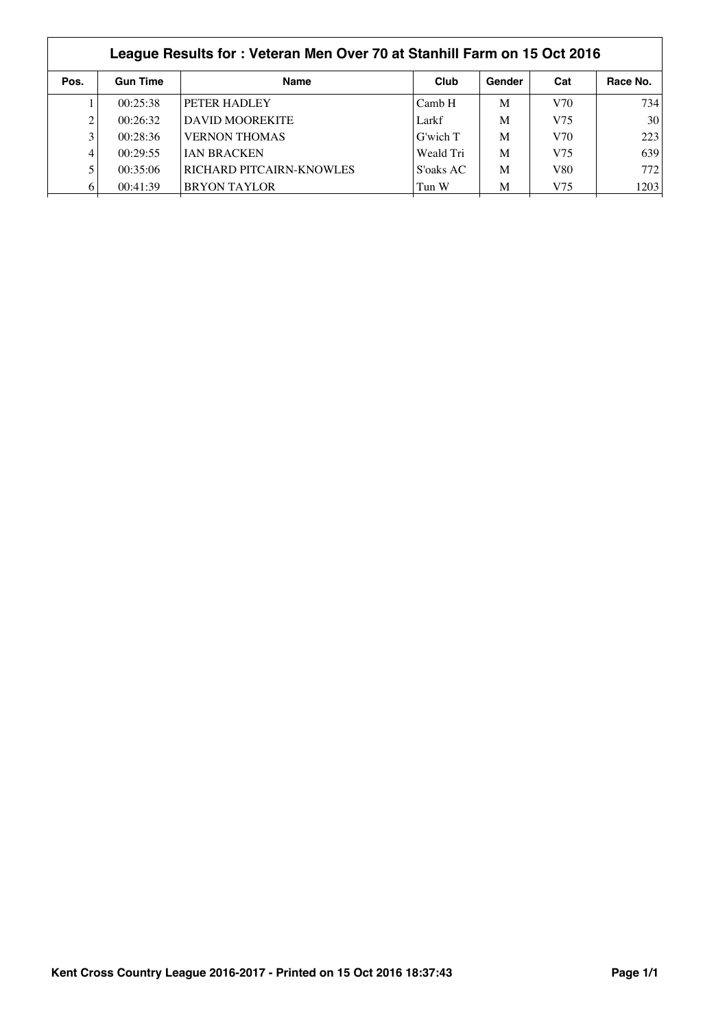|      | League Results for: Veteran Men Over 70 at Stanhill Farm on 15 Oct 2016 |                          |           |        |     |          |  |  |
|------|-------------------------------------------------------------------------|--------------------------|-----------|--------|-----|----------|--|--|
| Pos. | <b>Gun Time</b>                                                         | <b>Name</b>              | Club      | Gender | Cat | Race No. |  |  |
|      | 00:25:38                                                                | PETER HADLEY             | Camb H    | M      | V70 | 734      |  |  |
|      | 00:26:32                                                                | <b>DAVID MOOREKITE</b>   | Larkf     | M      | V75 | 30       |  |  |
|      | 00:28:36                                                                | <b>VERNON THOMAS</b>     | G'wich T  | M      | V70 | 223      |  |  |
| 4    | 00:29:55                                                                | <b>IAN BRACKEN</b>       | Weald Tri | M      | V75 | 639      |  |  |
|      | 00:35:06                                                                | RICHARD PITCAIRN-KNOWLES | S'oaks AC | M      | V80 | 772      |  |  |
| 6    | 00:41:39                                                                | <b>BRYON TAYLOR</b>      | Tun W     | M      | V75 | 1203     |  |  |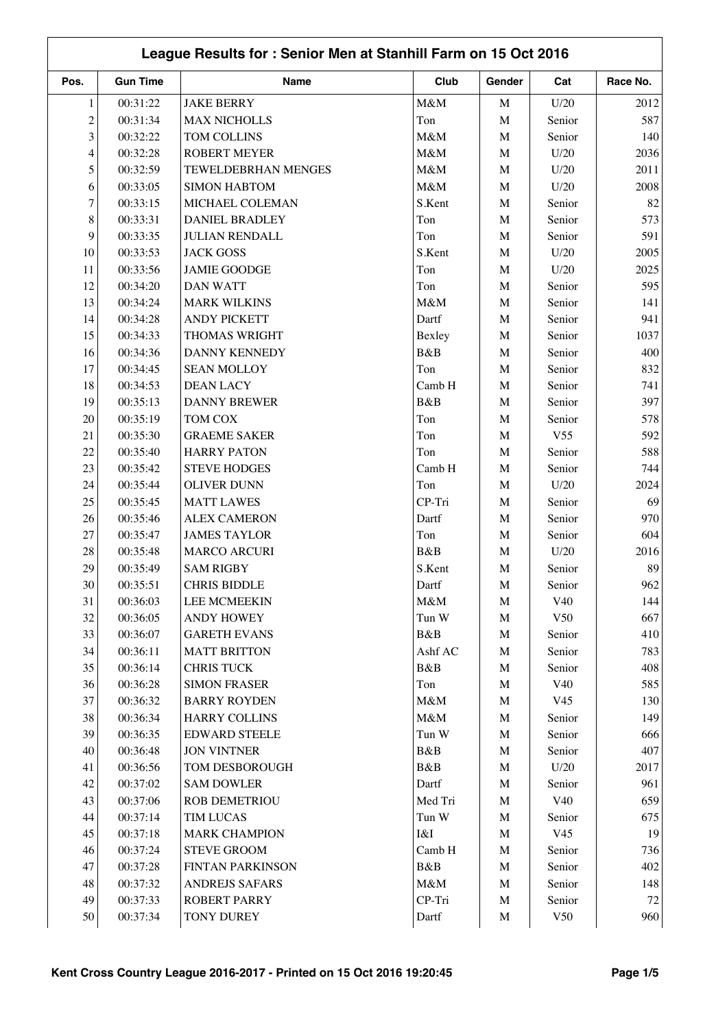|                | League Results for: Senior Men at Stanhill Farm on 15 Oct 2016 |                       |         |             |                 |          |  |  |
|----------------|----------------------------------------------------------------|-----------------------|---------|-------------|-----------------|----------|--|--|
| Pos.           | <b>Gun Time</b>                                                | Name                  | Club    | Gender      | Cat             | Race No. |  |  |
| $\mathbf{1}$   | 00:31:22                                                       | <b>JAKE BERRY</b>     | M&M     | $\mathbf M$ | U/20            | 2012     |  |  |
| $\overline{c}$ | 00:31:34                                                       | <b>MAX NICHOLLS</b>   | Ton     | $\mathbf M$ | Senior          | 587      |  |  |
| 3              | 00:32:22                                                       | TOM COLLINS           | M&M     | $\mathbf M$ | Senior          | 140      |  |  |
| $\overline{4}$ | 00:32:28                                                       | <b>ROBERT MEYER</b>   | M&M     | $\mathbf M$ | U/20            | 2036     |  |  |
| 5              | 00:32:59                                                       | TEWELDEBRHAN MENGES   | M&M     | $\mathbf M$ | U/20            | 2011     |  |  |
| 6              | 00:33:05                                                       | <b>SIMON HABTOM</b>   | M&M     | $\mathbf M$ | U/20            | 2008     |  |  |
| $\tau$         | 00:33:15                                                       | MICHAEL COLEMAN       | S.Kent  | $\mathbf M$ | Senior          | 82       |  |  |
| 8              | 00:33:31                                                       | <b>DANIEL BRADLEY</b> | Ton     | $\mathbf M$ | Senior          | 573      |  |  |
| 9              | 00:33:35                                                       | <b>JULIAN RENDALL</b> | Ton     | $\mathbf M$ | Senior          | 591      |  |  |
| 10             | 00:33:53                                                       | <b>JACK GOSS</b>      | S.Kent  | $\mathbf M$ | U/20            | 2005     |  |  |
| 11             | 00:33:56                                                       | <b>JAMIE GOODGE</b>   | Ton     | $\mathbf M$ | U/20            | 2025     |  |  |
| 12             | 00:34:20                                                       | <b>DAN WATT</b>       | Ton     | $\mathbf M$ | Senior          | 595      |  |  |
| 13             | 00:34:24                                                       | <b>MARK WILKINS</b>   | M&M     | $\mathbf M$ | Senior          | 141      |  |  |
| 14             | 00:34:28                                                       | <b>ANDY PICKETT</b>   | Dartf   | $\mathbf M$ | Senior          | 941      |  |  |
| 15             | 00:34:33                                                       | THOMAS WRIGHT         | Bexley  | $\mathbf M$ | Senior          | 1037     |  |  |
| 16             | 00:34:36                                                       | <b>DANNY KENNEDY</b>  | B&B     | $\mathbf M$ | Senior          | 400      |  |  |
| 17             | 00:34:45                                                       | <b>SEAN MOLLOY</b>    | Ton     | $\mathbf M$ | Senior          | 832      |  |  |
| 18             | 00:34:53                                                       | <b>DEAN LACY</b>      | Camb H  | $\mathbf M$ | Senior          | 741      |  |  |
| 19             | 00:35:13                                                       | <b>DANNY BREWER</b>   | B&B     | $\mathbf M$ | Senior          | 397      |  |  |
| 20             | 00:35:19                                                       | TOM COX               | Ton     | $\mathbf M$ | Senior          | 578      |  |  |
| 21             | 00:35:30                                                       | <b>GRAEME SAKER</b>   | Ton     | $\mathbf M$ | V <sub>55</sub> | 592      |  |  |
| 22             | 00:35:40                                                       | <b>HARRY PATON</b>    | Ton     | $\mathbf M$ | Senior          | 588      |  |  |
| 23             | 00:35:42                                                       | <b>STEVE HODGES</b>   | Camb H  | $\mathbf M$ | Senior          | 744      |  |  |
| 24             | 00:35:44                                                       | <b>OLIVER DUNN</b>    | Ton     | $\mathbf M$ | U/20            | 2024     |  |  |
| 25             | 00:35:45                                                       | <b>MATT LAWES</b>     | CP-Tri  | $\mathbf M$ | Senior          | 69       |  |  |
| 26             | 00:35:46                                                       | <b>ALEX CAMERON</b>   | Dartf   | $\mathbf M$ | Senior          | 970      |  |  |
| 27             | 00:35:47                                                       | <b>JAMES TAYLOR</b>   | Ton     | M           | Senior          | 604      |  |  |
| 28             | 00:35:48                                                       | <b>MARCO ARCURI</b>   | B&B     | $\mathbf M$ | U/20            | 2016     |  |  |
| 29             | 00:35:49                                                       | <b>SAM RIGBY</b>      | S.Kent  | $\mathbf M$ | Senior          | 89       |  |  |
| 30             | 00:35:51                                                       | <b>CHRIS BIDDLE</b>   | Dartf   | M           | Senior          | 962      |  |  |
| 31             | 00:36:03                                                       | <b>LEE MCMEEKIN</b>   | M&M     | M           | V40             | 144      |  |  |
| 32             | 00:36:05                                                       | <b>ANDY HOWEY</b>     | Tun W   | $\mathbf M$ | V50             | 667      |  |  |
| 33             | 00:36:07                                                       | <b>GARETH EVANS</b>   | B&B     | $\mathbf M$ | Senior          | 410      |  |  |
| 34             | 00:36:11                                                       | <b>MATT BRITTON</b>   | Ashf AC | $\mathbf M$ | Senior          | 783      |  |  |
| 35             | 00:36:14                                                       | <b>CHRIS TUCK</b>     | B&B     | $\mathbf M$ | Senior          | 408      |  |  |
| 36             | 00:36:28                                                       | <b>SIMON FRASER</b>   | Ton     | $\mathbf M$ | V40             | 585      |  |  |
| 37             | 00:36:32                                                       | <b>BARRY ROYDEN</b>   | $M\&M$  | $\mathbf M$ | V <sub>45</sub> | 130      |  |  |
| 38             | 00:36:34                                                       | <b>HARRY COLLINS</b>  | M&M     | $\mathbf M$ | Senior          | 149      |  |  |
| 39             | 00:36:35                                                       | <b>EDWARD STEELE</b>  | Tun W   | $\mathbf M$ | Senior          | 666      |  |  |
| 40             | 00:36:48                                                       | <b>JON VINTNER</b>    | B&B     | $\mathbf M$ | Senior          | 407      |  |  |
| 41             | 00:36:56                                                       | TOM DESBOROUGH        | B&B     | $\mathbf M$ | U/20            | 2017     |  |  |
| 42             | 00:37:02                                                       | <b>SAM DOWLER</b>     | Dartf   | $\mathbf M$ | Senior          | 961      |  |  |
| 43             | 00:37:06                                                       | <b>ROB DEMETRIOU</b>  | Med Tri | $\mathbf M$ | V40             | 659      |  |  |
| 44             | 00:37:14                                                       | <b>TIM LUCAS</b>      | Tun W   | $\mathbf M$ | Senior          | 675      |  |  |
| 45             | 00:37:18                                                       | <b>MARK CHAMPION</b>  | I&I     | $\mathbf M$ | V45             | 19       |  |  |
| 46             | 00:37:24                                                       | <b>STEVE GROOM</b>    | Camb H  | $\mathbf M$ | Senior          | 736      |  |  |
| 47             | 00:37:28                                                       | FINTAN PARKINSON      | B&B     | $\mathbf M$ | Senior          | 402      |  |  |
| 48             | 00:37:32                                                       | ANDREJS SAFARS        | M&M     | $\mathbf M$ | Senior          | 148      |  |  |
| 49             | 00:37:33                                                       | ROBERT PARRY          | CP-Tri  | $\mathbf M$ | Senior          | 72       |  |  |
| 50             | 00:37:34                                                       | TONY DUREY            | Dartf   | $\mathbf M$ | V50             | 960      |  |  |
|                |                                                                |                       |         |             |                 |          |  |  |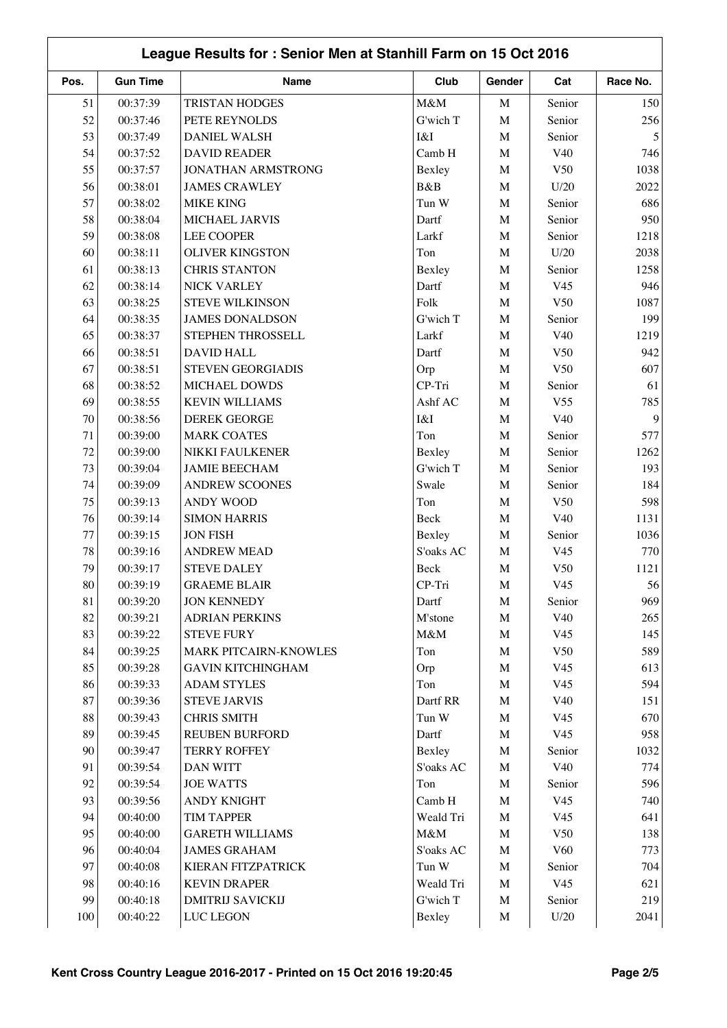|      | League Results for: Senior Men at Stanhill Farm on 15 Oct 2016 |                           |           |             |                 |          |  |  |
|------|----------------------------------------------------------------|---------------------------|-----------|-------------|-----------------|----------|--|--|
| Pos. | <b>Gun Time</b>                                                | Name                      | Club      | Gender      | Cat             | Race No. |  |  |
| 51   | 00:37:39                                                       | <b>TRISTAN HODGES</b>     | M&M       | $\mathbf M$ | Senior          | 150      |  |  |
| 52   | 00:37:46                                                       | PETE REYNOLDS             | G'wich T  | $\mathbf M$ | Senior          | 256      |  |  |
| 53   | 00:37:49                                                       | <b>DANIEL WALSH</b>       | I&I       | M           | Senior          | 5        |  |  |
| 54   | 00:37:52                                                       | <b>DAVID READER</b>       | Camb H    | $\mathbf M$ | V40             | 746      |  |  |
| 55   | 00:37:57                                                       | JONATHAN ARMSTRONG        | Bexley    | $\mathbf M$ | V50             | 1038     |  |  |
| 56   | 00:38:01                                                       | <b>JAMES CRAWLEY</b>      | B&B       | $\mathbf M$ | U/20            | 2022     |  |  |
| 57   | 00:38:02                                                       | <b>MIKE KING</b>          | Tun W     | $\mathbf M$ | Senior          | 686      |  |  |
| 58   | 00:38:04                                                       | MICHAEL JARVIS            | Dartf     | $\mathbf M$ | Senior          | 950      |  |  |
| 59   | 00:38:08                                                       | <b>LEE COOPER</b>         | Larkf     | $\mathbf M$ | Senior          | 1218     |  |  |
| 60   | 00:38:11                                                       | <b>OLIVER KINGSTON</b>    | Ton       | $\mathbf M$ | U/20            | 2038     |  |  |
| 61   | 00:38:13                                                       | <b>CHRIS STANTON</b>      | Bexley    | $\mathbf M$ | Senior          | 1258     |  |  |
| 62   | 00:38:14                                                       | <b>NICK VARLEY</b>        | Dartf     | $\mathbf M$ | V <sub>45</sub> | 946      |  |  |
| 63   | 00:38:25                                                       | <b>STEVE WILKINSON</b>    | Folk      | $\mathbf M$ | V50             | 1087     |  |  |
| 64   | 00:38:35                                                       | <b>JAMES DONALDSON</b>    | G'wich T  | $\mathbf M$ | Senior          | 199      |  |  |
| 65   | 00:38:37                                                       | STEPHEN THROSSELL         | Larkf     | $\mathbf M$ | V40             | 1219     |  |  |
| 66   | 00:38:51                                                       | <b>DAVID HALL</b>         | Dartf     | $\mathbf M$ | V50             | 942      |  |  |
| 67   | 00:38:51                                                       | <b>STEVEN GEORGIADIS</b>  | Orp       | $\mathbf M$ | V50             | 607      |  |  |
| 68   | 00:38:52                                                       | MICHAEL DOWDS             | CP-Tri    | M           | Senior          | 61       |  |  |
| 69   | 00:38:55                                                       | <b>KEVIN WILLIAMS</b>     | Ashf AC   | $\mathbf M$ | V <sub>55</sub> | 785      |  |  |
| 70   | 00:38:56                                                       | <b>DEREK GEORGE</b>       | I&I       | $\mathbf M$ | V <sub>40</sub> | 9        |  |  |
| 71   | 00:39:00                                                       | <b>MARK COATES</b>        | Ton       | $\mathbf M$ | Senior          | 577      |  |  |
| 72   | 00:39:00                                                       | NIKKI FAULKENER           | Bexley    | $\mathbf M$ | Senior          | 1262     |  |  |
| 73   | 00:39:04                                                       | <b>JAMIE BEECHAM</b>      | G'wich T  | $\mathbf M$ | Senior          | 193      |  |  |
| 74   | 00:39:09                                                       | <b>ANDREW SCOONES</b>     | Swale     | $\mathbf M$ | Senior          | 184      |  |  |
| 75   | 00:39:13                                                       | <b>ANDY WOOD</b>          | Ton       | $\mathbf M$ | V50             | 598      |  |  |
| 76   | 00:39:14                                                       | <b>SIMON HARRIS</b>       | Beck      | $\mathbf M$ | V40             | 1131     |  |  |
| 77   | 00:39:15                                                       | <b>JON FISH</b>           | Bexley    | $\mathbf M$ | Senior          | 1036     |  |  |
| 78   | 00:39:16                                                       | <b>ANDREW MEAD</b>        | S'oaks AC | $\mathbf M$ | V <sub>45</sub> | 770      |  |  |
| 79   | 00:39:17                                                       | <b>STEVE DALEY</b>        | Beck      | $\mathbf M$ | V50             | 1121     |  |  |
| 80   | 00:39:19                                                       | <b>GRAEME BLAIR</b>       | CP-Tri    | M           | V <sub>45</sub> | 56       |  |  |
| 81   | 00:39:20                                                       | <b>JON KENNEDY</b>        | Dartf     | M           | Senior          | 969      |  |  |
| 82   | 00:39:21                                                       | <b>ADRIAN PERKINS</b>     | M'stone   | $\mathbf M$ | V40             | 265      |  |  |
| 83   | 00:39:22                                                       | <b>STEVE FURY</b>         | $M\&M$    | $\mathbf M$ | V <sub>45</sub> | 145      |  |  |
| 84   | 00:39:25                                                       | MARK PITCAIRN-KNOWLES     | Ton       | $\mathbf M$ | V50             | 589      |  |  |
| 85   | 00:39:28                                                       | <b>GAVIN KITCHINGHAM</b>  | Orp       | $\mathbf M$ | V <sub>45</sub> | 613      |  |  |
| 86   | 00:39:33                                                       | <b>ADAM STYLES</b>        | Ton       | $\mathbf M$ | V <sub>45</sub> | 594      |  |  |
| 87   | 00:39:36                                                       | <b>STEVE JARVIS</b>       | Dartf RR  | $\mathbf M$ | V40             | 151      |  |  |
| 88   | 00:39:43                                                       | <b>CHRIS SMITH</b>        | Tun W     | M           | V <sub>45</sub> | 670      |  |  |
| 89   | 00:39:45                                                       | <b>REUBEN BURFORD</b>     | Dartf     | $\mathbf M$ | V <sub>45</sub> | 958      |  |  |
| 90   | 00:39:47                                                       | <b>TERRY ROFFEY</b>       | Bexley    | $\mathbf M$ | Senior          | 1032     |  |  |
| 91   | 00:39:54                                                       | <b>DAN WITT</b>           | S'oaks AC | $\mathbf M$ | V40             | 774      |  |  |
| 92   | 00:39:54                                                       | <b>JOE WATTS</b>          | Ton       | $\mathbf M$ | Senior          | 596      |  |  |
| 93   | 00:39:56                                                       | <b>ANDY KNIGHT</b>        | Camb H    | $\mathbf M$ | V <sub>45</sub> | 740      |  |  |
| 94   | 00:40:00                                                       | <b>TIM TAPPER</b>         | Weald Tri | $\mathbf M$ | V <sub>45</sub> | 641      |  |  |
| 95   | 00:40:00                                                       | <b>GARETH WILLIAMS</b>    | $M\&M$    | M           | V50             | 138      |  |  |
| 96   | 00:40:04                                                       | <b>JAMES GRAHAM</b>       | S'oaks AC | $\mathbf M$ | V60             | 773      |  |  |
| 97   | 00:40:08                                                       | <b>KIERAN FITZPATRICK</b> | Tun W     | $\mathbf M$ | Senior          | 704      |  |  |
| 98   | 00:40:16                                                       | <b>KEVIN DRAPER</b>       | Weald Tri | $\mathbf M$ | V <sub>45</sub> | 621      |  |  |
| 99   | 00:40:18                                                       | <b>DMITRIJ SAVICKIJ</b>   | G'wich T  | $\mathbf M$ | Senior          | 219      |  |  |
| 100  | 00:40:22                                                       | <b>LUC LEGON</b>          | Bexley    | M           | U/20            | 2041     |  |  |
|      |                                                                |                           |           |             |                 |          |  |  |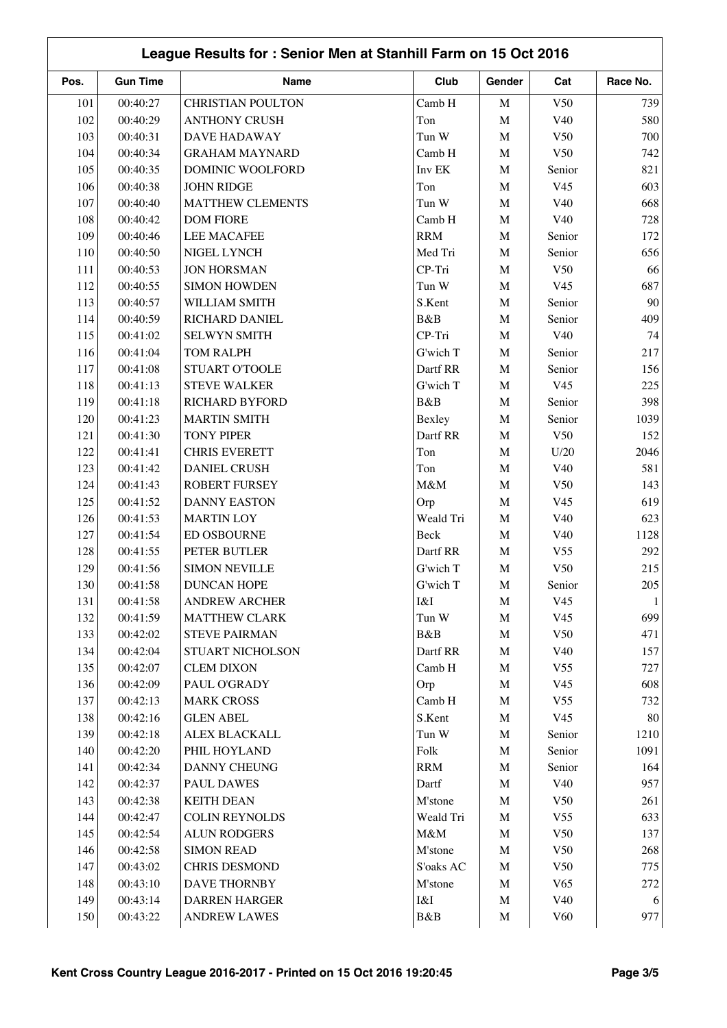|      | League Results for: Senior Men at Stanhill Farm on 15 Oct 2016 |                          |            |             |                 |              |  |  |
|------|----------------------------------------------------------------|--------------------------|------------|-------------|-----------------|--------------|--|--|
| Pos. | <b>Gun Time</b>                                                | Name                     | Club       | Gender      | Cat             | Race No.     |  |  |
| 101  | 00:40:27                                                       | <b>CHRISTIAN POULTON</b> | Camb H     | $\mathbf M$ | V50             | 739          |  |  |
| 102  | 00:40:29                                                       | <b>ANTHONY CRUSH</b>     | Ton        | $\mathbf M$ | V40             | 580          |  |  |
| 103  | 00:40:31                                                       | <b>DAVE HADAWAY</b>      | Tun W      | $\mathbf M$ | V50             | 700          |  |  |
| 104  | 00:40:34                                                       | <b>GRAHAM MAYNARD</b>    | Camb H     | $\mathbf M$ | V50             | 742          |  |  |
| 105  | 00:40:35                                                       | DOMINIC WOOLFORD         | Inv EK     | $\mathbf M$ | Senior          | 821          |  |  |
| 106  | 00:40:38                                                       | <b>JOHN RIDGE</b>        | Ton        | $\mathbf M$ | V <sub>45</sub> | 603          |  |  |
| 107  | 00:40:40                                                       | MATTHEW CLEMENTS         | Tun W      | $\mathbf M$ | V40             | 668          |  |  |
| 108  | 00:40:42                                                       | <b>DOM FIORE</b>         | Camb H     | $\mathbf M$ | V40             | 728          |  |  |
| 109  | 00:40:46                                                       | <b>LEE MACAFEE</b>       | <b>RRM</b> | $\mathbf M$ | Senior          | 172          |  |  |
| 110  | 00:40:50                                                       | NIGEL LYNCH              | Med Tri    | $\mathbf M$ | Senior          | 656          |  |  |
| 111  | 00:40:53                                                       | <b>JON HORSMAN</b>       | CP-Tri     | $\mathbf M$ | V50             | 66           |  |  |
| 112  | 00:40:55                                                       | <b>SIMON HOWDEN</b>      | Tun W      | $\mathbf M$ | V <sub>45</sub> | 687          |  |  |
| 113  | 00:40:57                                                       | WILLIAM SMITH            | S.Kent     | $\mathbf M$ | Senior          | 90           |  |  |
| 114  | 00:40:59                                                       | RICHARD DANIEL           | B&B        | $\mathbf M$ | Senior          | 409          |  |  |
| 115  | 00:41:02                                                       | <b>SELWYN SMITH</b>      | CP-Tri     | $\mathbf M$ | V40             | 74           |  |  |
| 116  | 00:41:04                                                       | <b>TOM RALPH</b>         | G'wich T   | $\mathbf M$ | Senior          | 217          |  |  |
| 117  | 00:41:08                                                       | STUART O'TOOLE           | Dartf RR   | $\mathbf M$ | Senior          | 156          |  |  |
| 118  | 00:41:13                                                       | <b>STEVE WALKER</b>      | G'wich T   | $\mathbf M$ | V <sub>45</sub> | 225          |  |  |
| 119  | 00:41:18                                                       | RICHARD BYFORD           | B&B        | $\mathbf M$ | Senior          | 398          |  |  |
| 120  | 00:41:23                                                       | <b>MARTIN SMITH</b>      | Bexley     | $\mathbf M$ | Senior          | 1039         |  |  |
| 121  | 00:41:30                                                       | <b>TONY PIPER</b>        | Dartf RR   | $\mathbf M$ | V50             | 152          |  |  |
| 122  | 00:41:41                                                       | <b>CHRIS EVERETT</b>     | Ton        | $\mathbf M$ | U/20            | 2046         |  |  |
| 123  | 00:41:42                                                       | <b>DANIEL CRUSH</b>      | Ton        | $\mathbf M$ | V40             | 581          |  |  |
| 124  | 00:41:43                                                       | ROBERT FURSEY            | M&M        | $\mathbf M$ | V50             | 143          |  |  |
| 125  | 00:41:52                                                       | <b>DANNY EASTON</b>      | Orp        | $\mathbf M$ | V <sub>45</sub> | 619          |  |  |
| 126  | 00:41:53                                                       | <b>MARTIN LOY</b>        | Weald Tri  | $\mathbf M$ | V40             | 623          |  |  |
| 127  | 00:41:54                                                       | <b>ED OSBOURNE</b>       | Beck       | $\mathbf M$ | V40             | 1128         |  |  |
| 128  | 00:41:55                                                       | PETER BUTLER             | Dartf RR   | $\mathbf M$ | V <sub>55</sub> | 292          |  |  |
| 129  | 00:41:56                                                       | <b>SIMON NEVILLE</b>     | G'wich T   | $\mathbf M$ | V <sub>50</sub> | 215          |  |  |
| 130  | 00:41:58                                                       | <b>DUNCAN HOPE</b>       | G'wich T   | M           | Senior          | 205          |  |  |
| 131  | 00:41:58                                                       | <b>ANDREW ARCHER</b>     | I&I        | M           | V <sub>45</sub> | $\mathbf{1}$ |  |  |
| 132  | 00:41:59                                                       | <b>MATTHEW CLARK</b>     | Tun W      | $\mathbf M$ | V <sub>45</sub> | 699          |  |  |
| 133  | 00:42:02                                                       | <b>STEVE PAIRMAN</b>     | B&B        | $\mathbf M$ | V50             | 471          |  |  |
| 134  | 00:42:04                                                       | STUART NICHOLSON         | Dartf RR   | M           | V40             | 157          |  |  |
| 135  | 00:42:07                                                       | <b>CLEM DIXON</b>        | Camb H     | $\mathbf M$ | V <sub>55</sub> | 727          |  |  |
| 136  | 00:42:09                                                       | PAUL O'GRADY             | Orp        | $\mathbf M$ | V <sub>45</sub> | 608          |  |  |
| 137  | 00:42:13                                                       | <b>MARK CROSS</b>        | Camb H     | $\mathbf M$ | V <sub>55</sub> | 732          |  |  |
| 138  | 00:42:16                                                       | <b>GLEN ABEL</b>         | S.Kent     | $\mathbf M$ | V <sub>45</sub> | 80           |  |  |
| 139  | 00:42:18                                                       | <b>ALEX BLACKALL</b>     | Tun W      | $\mathbf M$ | Senior          | 1210         |  |  |
| 140  | 00:42:20                                                       | PHIL HOYLAND             | Folk       | $\mathbf M$ | Senior          | 1091         |  |  |
| 141  | 00:42:34                                                       | DANNY CHEUNG             | <b>RRM</b> | M           | Senior          | 164          |  |  |
| 142  | 00:42:37                                                       | <b>PAUL DAWES</b>        | Dartf      | $\mathbf M$ | V40             | 957          |  |  |
| 143  | 00:42:38                                                       | <b>KEITH DEAN</b>        | M'stone    | M           | V <sub>50</sub> | 261          |  |  |
| 144  | 00:42:47                                                       | <b>COLIN REYNOLDS</b>    | Weald Tri  | $\mathbf M$ | V <sub>55</sub> | 633          |  |  |
| 145  | 00:42:54                                                       | <b>ALUN RODGERS</b>      | $M\&M$     | M           | V50             | 137          |  |  |
| 146  | 00:42:58                                                       | <b>SIMON READ</b>        | M'stone    | $\mathbf M$ | V50             | 268          |  |  |
| 147  | 00:43:02                                                       | <b>CHRIS DESMOND</b>     | S'oaks AC  | $\mathbf M$ | V50             | 775          |  |  |
| 148  | 00:43:10                                                       | DAVE THORNBY             | M'stone    | $\mathbf M$ | V65             | 272          |  |  |
| 149  | 00:43:14                                                       | <b>DARREN HARGER</b>     | I&I        | $\mathbf M$ | V40             | 6            |  |  |
| 150  | 00:43:22                                                       | <b>ANDREW LAWES</b>      | B&B        | M           | V60             | 977          |  |  |
|      |                                                                |                          |            |             |                 |              |  |  |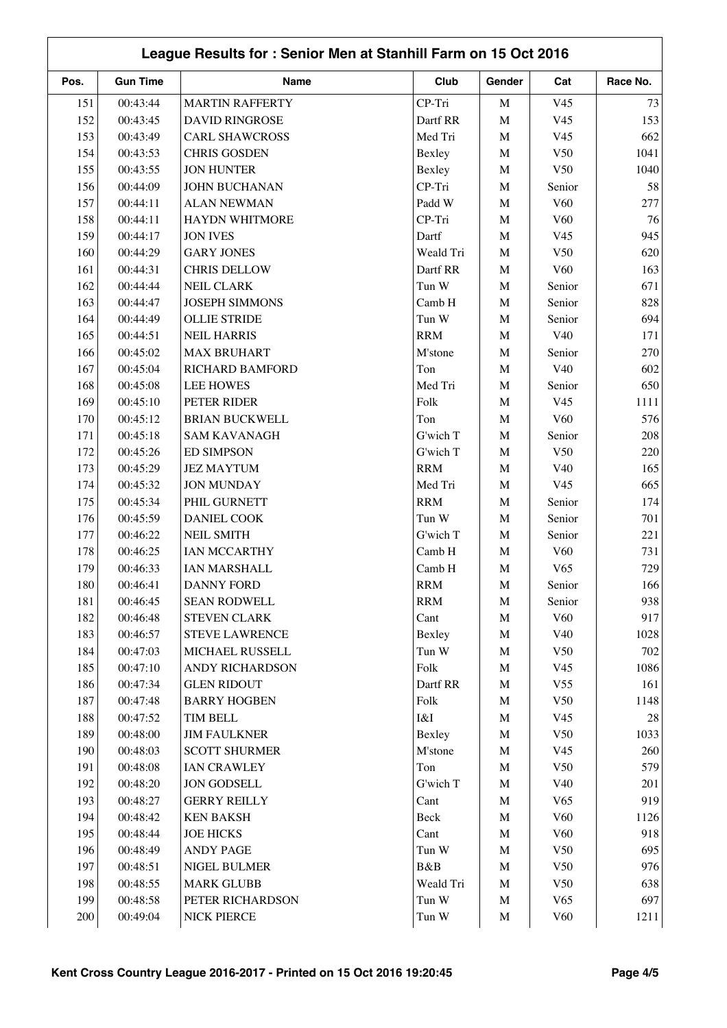|      | League Results for: Senior Men at Stanhill Farm on 15 Oct 2016 |                        |            |             |                 |          |  |  |
|------|----------------------------------------------------------------|------------------------|------------|-------------|-----------------|----------|--|--|
| Pos. | <b>Gun Time</b>                                                | Name                   | Club       | Gender      | Cat             | Race No. |  |  |
| 151  | 00:43:44                                                       | <b>MARTIN RAFFERTY</b> | CP-Tri     | $\mathbf M$ | V <sub>45</sub> | 73       |  |  |
| 152  | 00:43:45                                                       | <b>DAVID RINGROSE</b>  | Dartf RR   | $\mathbf M$ | V <sub>45</sub> | 153      |  |  |
| 153  | 00:43:49                                                       | <b>CARL SHAWCROSS</b>  | Med Tri    | M           | V <sub>45</sub> | 662      |  |  |
| 154  | 00:43:53                                                       | <b>CHRIS GOSDEN</b>    | Bexley     | $\mathbf M$ | V50             | 1041     |  |  |
| 155  | 00:43:55                                                       | <b>JON HUNTER</b>      | Bexley     | $\mathbf M$ | V50             | 1040     |  |  |
| 156  | 00:44:09                                                       | JOHN BUCHANAN          | CP-Tri     | $\mathbf M$ | Senior          | 58       |  |  |
| 157  | 00:44:11                                                       | <b>ALAN NEWMAN</b>     | Padd W     | $\mathbf M$ | V <sub>60</sub> | 277      |  |  |
| 158  | 00:44:11                                                       | <b>HAYDN WHITMORE</b>  | CP-Tri     | $\mathbf M$ | V <sub>60</sub> | 76       |  |  |
| 159  | 00:44:17                                                       | <b>JON IVES</b>        | Dartf      | $\mathbf M$ | V <sub>45</sub> | 945      |  |  |
| 160  | 00:44:29                                                       | <b>GARY JONES</b>      | Weald Tri  | $\mathbf M$ | V50             | 620      |  |  |
| 161  | 00:44:31                                                       | <b>CHRIS DELLOW</b>    | Dartf RR   | $\mathbf M$ | V <sub>60</sub> | 163      |  |  |
| 162  | 00:44:44                                                       | <b>NEIL CLARK</b>      | Tun W      | $\mathbf M$ | Senior          | 671      |  |  |
| 163  | 00:44:47                                                       | <b>JOSEPH SIMMONS</b>  | Camb H     | $\mathbf M$ | Senior          | 828      |  |  |
| 164  | 00:44:49                                                       | <b>OLLIE STRIDE</b>    | Tun W      | $\mathbf M$ | Senior          | 694      |  |  |
| 165  | 00:44:51                                                       | <b>NEIL HARRIS</b>     | <b>RRM</b> | $\mathbf M$ | V <sub>40</sub> | 171      |  |  |
| 166  | 00:45:02                                                       | <b>MAX BRUHART</b>     | M'stone    | $\mathbf M$ | Senior          | 270      |  |  |
| 167  | 00:45:04                                                       | RICHARD BAMFORD        | Ton        | $\mathbf M$ | V40             | 602      |  |  |
| 168  | 00:45:08                                                       | <b>LEE HOWES</b>       | Med Tri    | $\mathbf M$ | Senior          | 650      |  |  |
| 169  | 00:45:10                                                       | PETER RIDER            | Folk       | $\mathbf M$ | V <sub>45</sub> | 1111     |  |  |
| 170  | 00:45:12                                                       | <b>BRIAN BUCKWELL</b>  | Ton        | $\mathbf M$ | V <sub>60</sub> | 576      |  |  |
| 171  | 00:45:18                                                       | <b>SAM KAVANAGH</b>    | G'wich T   | $\mathbf M$ | Senior          | 208      |  |  |
| 172  | 00:45:26                                                       | <b>ED SIMPSON</b>      | G'wich T   | $\mathbf M$ | V50             | 220      |  |  |
| 173  | 00:45:29                                                       | <b>JEZ MAYTUM</b>      | <b>RRM</b> | $\mathbf M$ | V40             | 165      |  |  |
| 174  | 00:45:32                                                       | <b>JON MUNDAY</b>      | Med Tri    | $\mathbf M$ | V <sub>45</sub> | 665      |  |  |
| 175  | 00:45:34                                                       | PHIL GURNETT           | <b>RRM</b> | $\mathbf M$ | Senior          | 174      |  |  |
| 176  | 00:45:59                                                       | <b>DANIEL COOK</b>     | Tun W      | M           | Senior          | 701      |  |  |
| 177  | 00:46:22                                                       | <b>NEIL SMITH</b>      | G'wich T   | $\mathbf M$ | Senior          | 221      |  |  |
| 178  | 00:46:25                                                       | IAN MCCARTHY           | Camb H     | $\mathbf M$ | V <sub>60</sub> | 731      |  |  |
| 179  | 00:46:33                                                       | IAN MARSHALL           | Camb H     | $\mathbf M$ | V65             | 729      |  |  |
| 180  | 00:46:41                                                       | <b>DANNY FORD</b>      | <b>RRM</b> | M           | Senior          | 166      |  |  |
| 181  | 00:46:45                                                       | <b>SEAN RODWELL</b>    | <b>RRM</b> | $\mathbf M$ | Senior          | 938      |  |  |
| 182  | 00:46:48                                                       | STEVEN CLARK           | Cant       | $\mathbf M$ | V60             | 917      |  |  |
| 183  | 00:46:57                                                       | <b>STEVE LAWRENCE</b>  | Bexley     | $\mathbf M$ | V40             | 1028     |  |  |
| 184  | 00:47:03                                                       | MICHAEL RUSSELL        | Tun W      | $\mathbf M$ | V50             | 702      |  |  |
| 185  | 00:47:10                                                       | ANDY RICHARDSON        | Folk       | $\mathbf M$ | V <sub>45</sub> | 1086     |  |  |
| 186  | 00:47:34                                                       | <b>GLEN RIDOUT</b>     | Dartf RR   | $\mathbf M$ | V <sub>55</sub> | 161      |  |  |
| 187  | 00:47:48                                                       | <b>BARRY HOGBEN</b>    | Folk       | $\mathbf M$ | V50             | 1148     |  |  |
| 188  | 00:47:52                                                       | <b>TIM BELL</b>        | I&I        | $\mathbf M$ | V <sub>45</sub> | $28\,$   |  |  |
| 189  | 00:48:00                                                       | <b>JIM FAULKNER</b>    | Bexley     | $\mathbf M$ | V50             | 1033     |  |  |
| 190  | 00:48:03                                                       | <b>SCOTT SHURMER</b>   | M'stone    | $\mathbf M$ | V <sub>45</sub> | 260      |  |  |
| 191  | 00:48:08                                                       | <b>IAN CRAWLEY</b>     | Ton        | $\mathbf M$ | V50             | 579      |  |  |
| 192  | 00:48:20                                                       | <b>JON GODSELL</b>     | G'wich T   | $\mathbf M$ | V40             | 201      |  |  |
| 193  | 00:48:27                                                       | <b>GERRY REILLY</b>    | Cant       | $\mathbf M$ | V65             | 919      |  |  |
| 194  | 00:48:42                                                       | <b>KEN BAKSH</b>       | Beck       | $\mathbf M$ | V <sub>60</sub> | 1126     |  |  |
| 195  | 00:48:44                                                       | <b>JOE HICKS</b>       | Cant       | $\mathbf M$ | V60             | 918      |  |  |
| 196  | 00:48:49                                                       | <b>ANDY PAGE</b>       | Tun W      | $\mathbf M$ | V50             | 695      |  |  |
| 197  | 00:48:51                                                       | NIGEL BULMER           | B&B        | $\mathbf M$ | V50             | 976      |  |  |
| 198  | 00:48:55                                                       | <b>MARK GLUBB</b>      | Weald Tri  | $\mathbf M$ | V50             | 638      |  |  |
| 199  | 00:48:58                                                       | PETER RICHARDSON       | Tun W      | $\mathbf M$ | V65             | 697      |  |  |
| 200  | 00:49:04                                                       | <b>NICK PIERCE</b>     | Tun W      | M           | V60             | 1211     |  |  |
|      |                                                                |                        |            |             |                 |          |  |  |